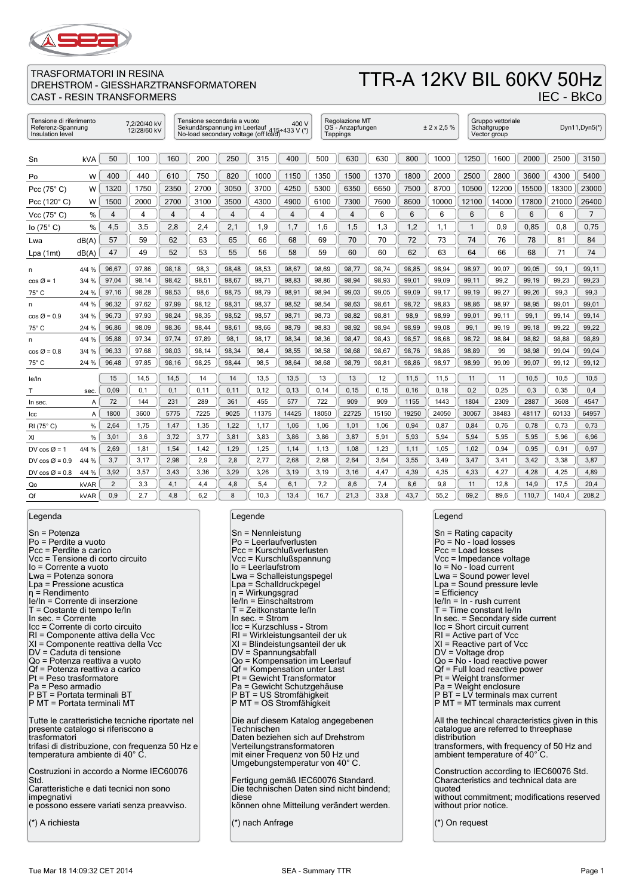

### TTR-A 12KV BIL 60KV 50Hz IEC - BkCo

| Tensione di riferimento<br>7.2/20/40 kV<br>Referenz-Spannung<br>12/28/60 kV<br>Insulation level |                |       |       | Tensione secondaria a vuoto |       |       | 400 V<br>Sekundärspannung im Leerlauf 415÷433 V (*)<br>No-load secondary voltage (off load) |       | Regolazione MT<br>OS - Anzapfungen<br>Tappings |       |       | ± 2 x 2.5 % |       | Gruppo vettoriale<br>Schaltgruppe<br>Vector group |       |       | Dyn11, Dyn5(*) |                |
|-------------------------------------------------------------------------------------------------|----------------|-------|-------|-----------------------------|-------|-------|---------------------------------------------------------------------------------------------|-------|------------------------------------------------|-------|-------|-------------|-------|---------------------------------------------------|-------|-------|----------------|----------------|
| Sn                                                                                              | <b>kVA</b>     | 50    | 100   | 160                         | 200   | 250   | 315                                                                                         | 400   | 500                                            | 630   | 630   | 800         | 1000  | 1250                                              | 1600  | 2000  | 2500           | 3150           |
| Po                                                                                              | W              | 400   | 440   | 610                         | 750   | 820   | 1000                                                                                        | 1150  | 1350                                           | 1500  | 1370  | 1800        | 2000  | 2500                                              | 2800  | 3600  | 4300           | 5400           |
| Pcc $(75^{\circ} C)$                                                                            | W              | 1320  | 1750  | 2350                        | 2700  | 3050  | 3700                                                                                        | 4250  | 5300                                           | 6350  | 6650  | 7500        | 8700  | 10500                                             | 12200 | 15500 | 18300          | 23000          |
| Pcc $(120^\circ C)$                                                                             | W              | 1500  | 2000  | 2700                        | 3100  | 3500  | 4300                                                                                        | 4900  | 6100                                           | 7300  | 7600  | 8600        | 10000 | 12100                                             | 14000 | 17800 | 21000          | 26400          |
| Vcc $(75^{\circ} C)$                                                                            | %              | 4     | 4     | 4                           | 4     | 4     | 4                                                                                           | 4     | 4                                              | 4     | 6     | 6           | 6     | 6                                                 | 6     | 6     | 6              | $\overline{7}$ |
| lo $(75^{\circ} C)$                                                                             | %              | 4,5   | 3,5   | 2,8                         | 2,4   | 2,1   | 1,9                                                                                         | 1,7   | 1.6                                            | 1,5   | 1,3   | 1,2         | 1,1   | 1                                                 | 0.9   | 0.85  | 0.8            | 0.75           |
| Lwa                                                                                             | dB(A)          | 57    | 59    | 62                          | 63    | 65    | 66                                                                                          | 68    | 69                                             | 70    | 70    | 72          | 73    | 74                                                | 76    | 78    | 81             | 84             |
| Lpa (1mt)                                                                                       | dB(A)          | 47    | 49    | 52                          | 53    | 55    | 56                                                                                          | 58    | 59                                             | 60    | 60    | 62          | 63    | 64                                                | 66    | 68    | 71             | 74             |
| n                                                                                               | 4/4 %          | 96,67 | 97,86 | 98,18                       | 98,3  | 98,48 | 98,53                                                                                       | 98,67 | 98,69                                          | 98,77 | 98,74 | 98,85       | 98,94 | 98,97                                             | 99,07 | 99,05 | 99,1           | 99,11          |
| $\cos \varnothing = 1$                                                                          | 3/4%           | 97,04 | 98,14 | 98,42                       | 98,51 | 98,67 | 98,71                                                                                       | 98,83 | 98,86                                          | 98,94 | 98,93 | 99,01       | 99,09 | 99,11                                             | 99,2  | 99,19 | 99,23          | 99,23          |
| 75° C                                                                                           | 2/4%           | 97,16 | 98,28 | 98,53                       | 98,6  | 98,75 | 98,79                                                                                       | 98,91 | 98,94                                          | 99,03 | 99,05 | 99,09       | 99,17 | 99,19                                             | 99,27 | 99,26 | 99,3           | 99,3           |
| n                                                                                               | 4/4 %          | 96,32 | 97,62 | 97,99                       | 98,12 | 98,31 | 98,37                                                                                       | 98,52 | 98,54                                          | 98,63 | 98,61 | 98,72       | 98,83 | 98,86                                             | 98,97 | 98,95 | 99,01          | 99,01          |
| $\cos \varnothing = 0.9$                                                                        | 3/4%           | 96,73 | 97,93 | 98.24                       | 98,35 | 98.52 | 98,57                                                                                       | 98.71 | 98,73                                          | 98,82 | 98.81 | 98,9        | 98,99 | 99.01                                             | 99,11 | 99,1  | 99,14          | 99.14          |
| 75° C                                                                                           | 2/4%           | 96,86 | 98,09 | 98,36                       | 98.44 | 98.61 | 98.66                                                                                       | 98,79 | 98,83                                          | 98,92 | 98,94 | 98,99       | 99.08 | 99,1                                              | 99,19 | 99,18 | 99,22          | 99,22          |
| n                                                                                               | 4/4 %          | 95,88 | 97,34 | 97,74                       | 97,89 | 98,1  | 98,17                                                                                       | 98,34 | 98,36                                          | 98,47 | 98,43 | 98,57       | 98,68 | 98,72                                             | 98,84 | 98,82 | 98,88          | 98,89          |
| $\cos \varnothing = 0.8$                                                                        | 3/4%           | 96,33 | 97,68 | 98,03                       | 98,14 | 98,34 | 98,4                                                                                        | 98,55 | 98,58                                          | 98,68 | 98,67 | 98,76       | 98,86 | 98,89                                             | 99    | 98,98 | 99,04          | 99,04          |
| 75° C                                                                                           | 2/4%           | 96,48 | 97,85 | 98,16                       | 98,25 | 98,44 | 98,5                                                                                        | 98,64 | 98,68                                          | 98,79 | 98,81 | 98,86       | 98,97 | 98,99                                             | 99,09 | 99,07 | 99,12          | 99,12          |
| le/In                                                                                           |                | 15    | 14,5  | 14,5                        | 14    | 14    | 13,5                                                                                        | 13,5  | 13                                             | 13    | 12    | 11,5        | 11,5  | 11                                                | 11    | 10,5  | 10,5           | 10,5           |
| т                                                                                               | sec.           | 0,09  | 0,1   | 0,1                         | 0,11  | 0,11  | 0, 12                                                                                       | 0, 13 | 0, 14                                          | 0, 15 | 0, 15 | 0, 16       | 0,18  | 0,2                                               | 0,25  | 0,3   | 0,35           | 0,4            |
| In sec.                                                                                         | A              | 72    | 144   | 231                         | 289   | 361   | 455                                                                                         | 577   | 722                                            | 909   | 909   | 1155        | 1443  | 1804                                              | 2309  | 2887  | 3608           | 4547           |
| lcc                                                                                             | $\overline{A}$ | 1800  | 3600  | 5775                        | 7225  | 9025  | 11375                                                                                       | 14425 | 18050                                          | 22725 | 15150 | 19250       | 24050 | 30067                                             | 38483 | 48117 | 60133          | 64957          |
| RI (75°C)                                                                                       | %              | 2.64  | 1,75  | 1,47                        | 1,35  | 1,22  | 1,17                                                                                        | 1,06  | 1,06                                           | 1,01  | 1,06  | 0.94        | 0.87  | 0,84                                              | 0,76  | 0,78  | 0.73           | 0,73           |
| XI                                                                                              | %              | 3,01  | 3,6   | 3,72                        | 3,77  | 3,81  | 3,83                                                                                        | 3,86  | 3,86                                           | 3,87  | 5,91  | 5,93        | 5,94  | 5,94                                              | 5,95  | 5,95  | 5,96           | 6,96           |
| DV cos $\varnothing$ = 1                                                                        | 4/4 %          | 2,69  | 1,81  | 1,54                        | 1,42  | 1,29  | 1,25                                                                                        | 1,14  | 1,13                                           | 1,08  | 1,23  | 1,11        | 1,05  | 1,02                                              | 0,94  | 0,95  | 0,91           | 0,97           |
| DV $\cos \varnothing = 0.9$                                                                     | 4/4 %          | 3,7   | 3,17  | 2,98                        | 2,9   | 2,8   | 2,77                                                                                        | 2,68  | 2,68                                           | 2,64  | 3,64  | 3,55        | 3,49  | 3,47                                              | 3,41  | 3,42  | 3,38           | 3,87           |
| DV $cos \varnothing = 0.8$                                                                      | 4/4 %          | 3,92  | 3,57  | 3,43                        | 3,36  | 3,29  | 3,26                                                                                        | 3,19  | 3,19                                           | 3,16  | 4,47  | 4,39        | 4,35  | 4,33                                              | 4,27  | 4,28  | 4,25           | 4,89           |
| Qo                                                                                              | kVAR           | 2     | 3,3   | 4,1                         | 4,4   | 4,8   | 5,4                                                                                         | 6,1   | 7,2                                            | 8,6   | 7,4   | 8,6         | 9,8   | 11                                                | 12,8  | 14,9  | 17,5           | 20,4           |
| Qf                                                                                              | kVAR           | 0.9   | 2.7   | 4.8                         | 6.2   | 8     | 10.3                                                                                        | 13.4  | 16.7                                           | 21.3  | 33.8  | 43.7        | 55.2  | 69.2                                              | 89.6  | 110.7 | 140.4          | 208,2          |

Legenda

Sn = Potenza Po = Perdite a vuoto Pcc = Perdite a carico Vcc = Tensione di corto circuito Io = Corrente a vuoto Lwa = Potenza sonora Lpa = Pressione acustica η = Rendimento Ie/In = Corrente di inserzione T = Costante di tempo Ie/In In sec. = Corrente Icc = Corrente di corto circuito RI = Componente attiva della Vcc XI = Componente reattiva della Vcc DV = Caduta di tensione Qo = Potenza reattiva a vuoto Qf = Potenza reattiva a carico Pt = Peso trasformatore Pa = Peso armadio P BT = Portata terminali BT P MT = Portata terminali MT Tutte le caratteristiche tecniche riportate nel presente catalogo si riferiscono a trasformatori trifasi di distribuzione, con frequenza 50 Hz e temperatura ambiente di 40° C. Costruzioni in accordo a Norme IEC60076 Std. Caratteristiche e dati tecnici non sono impegnativi e possono essere variati senza preavviso. (\*) A richiesta

#### Legende

| $Sn = Nennleistung$<br>Po = Leerlaufverlusten<br>Pcc = Kurschlußverlusten<br>Vcc = Kurschlußspannung<br>lo = Leerlaufstrom<br>Lwa = Schalleistungspegel<br>Lpa = Schalldruckpegel<br>$\eta$ = Wirkungsgrad<br>le/In = Einschaltstrom<br>T = Zeitkonstante le/In<br>In sec. = Strom<br>Icc = Kurzschluss - Strom<br>RI = Wirkleistungsanteil der uk<br>XI = Blindeistungsanteil der uk<br>DV = Spannungsabfall<br>Qo = Kompensation im Leerlauf<br>Qf = Kompensation unter Last<br>Pt = Gewicht Transformator<br>Pa = Gewicht Schutzgehäuse<br>P BT = US Stromfähigkeit<br>P MT = OS Stromfähigkeit |
|----------------------------------------------------------------------------------------------------------------------------------------------------------------------------------------------------------------------------------------------------------------------------------------------------------------------------------------------------------------------------------------------------------------------------------------------------------------------------------------------------------------------------------------------------------------------------------------------------|
| Die auf diesem Katalog angegebenen<br>Technischen<br>Daten beziehen sich auf Drehstrom<br>Verteilungstransformatoren<br>mit einer Frequenz von 50 Hz und<br>Umgebungstemperatur von 40°C.                                                                                                                                                                                                                                                                                                                                                                                                          |
| Fertigung gemäß IEC60076 Standard.<br>Die technischen Daten sind nicht bindend;<br>diese<br>können ohne Mitteilung verändert werden.                                                                                                                                                                                                                                                                                                                                                                                                                                                               |

(\*) nach Anfrage

#### Legend

Sn = Rating capacity Po = No - load losses Pcc = Load losses Vcc = Impedance voltage Io = No - load current Lwa = Sound power level Lpa = Sound pressure levle  $=$  Efficiency Ie/In = In - rush current T = Time constant Ie/In In sec. = Secondary side current Icc = Short circuit current RI = Active part of Vcc XI = Reactive part of Vcc DV = Voltage drop Qo = No - load reactive power  $Qf = Full load reactive power$ Pt = Weight transformer Pa = Weight enclosure P BT = LV terminals max current P MT = MT terminals max current All the techincal characteristics given in this catalogue are referred to threephase distribution transformers, with frequency of 50 Hz and ambient temperature of 40°C. Construction according to IEC60076 Std. Characteristics and technical data are quoted without commitment; modifications reserved without prior notice. (\*) On request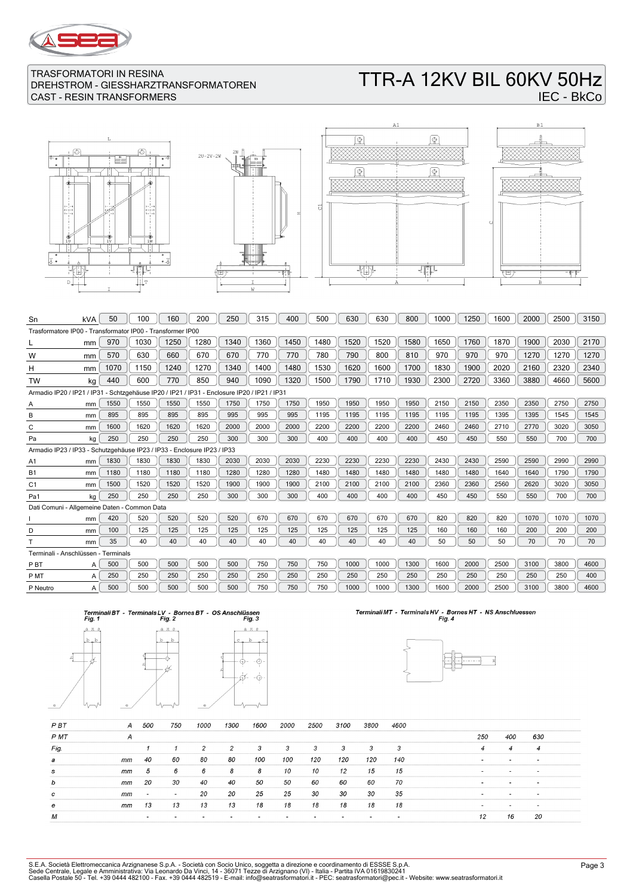

# TTR-A 12KV BIL 60KV 50Hz IEC - BkCo

 $\overline{\mathbb{F}}$ 







| Sn                                                                                          | kVA                                                                     | 50   | 100  | 160  | 200  | 250  | 315  | 400  | 500  | 630  | 630  | 800  | 1000 | 1250 | 1600 | 2000 | 2500 | 3150 |
|---------------------------------------------------------------------------------------------|-------------------------------------------------------------------------|------|------|------|------|------|------|------|------|------|------|------|------|------|------|------|------|------|
| Trasformatore IP00 - Transformator IP00 - Transformer IP00                                  |                                                                         |      |      |      |      |      |      |      |      |      |      |      |      |      |      |      |      |      |
|                                                                                             | mm                                                                      | 970  | 1030 | 1250 | 1280 | 1340 | 1360 | 1450 | 1480 | 1520 | 1520 | 1580 | 1650 | 1760 | 1870 | 1900 | 2030 | 2170 |
| W                                                                                           | mm                                                                      | 570  | 630  | 660  | 670  | 670  | 770  | 770  | 780  | 790  | 800  | 810  | 970  | 970  | 970  | 1270 | 1270 | 1270 |
| н                                                                                           | mm                                                                      | 1070 | 1150 | 1240 | 1270 | 1340 | 1400 | 1480 | 1530 | 1620 | 1600 | 1700 | 1830 | 1900 | 2020 | 2160 | 2320 | 2340 |
| <b>TW</b>                                                                                   | kg                                                                      | 440  | 600  | 770  | 850  | 940  | 1090 | 1320 | 1500 | 1790 | 1710 | 1930 | 2300 | 2720 | 3360 | 3880 | 4660 | 5600 |
| Armadio IP20 / IP21 / IP31 - Schtzgehäuse IP20 / IP21 / IP31 - Enclosure IP20 / IP21 / IP31 |                                                                         |      |      |      |      |      |      |      |      |      |      |      |      |      |      |      |      |      |
| Α                                                                                           | mm                                                                      | 1550 | 1550 | 1550 | 1550 | 1750 | 1750 | 1750 | 1950 | 1950 | 1950 | 1950 | 2150 | 2150 | 2350 | 2350 | 2750 | 2750 |
| B                                                                                           | mm                                                                      | 895  | 895  | 895  | 895  | 995  | 995  | 995  | 1195 | 1195 | 1195 | 1195 | 1195 | 1195 | 1395 | 1395 | 1545 | 1545 |
| C                                                                                           | mm                                                                      | 1600 | 1620 | 1620 | 1620 | 2000 | 2000 | 2000 | 2200 | 2200 | 2200 | 2200 | 2460 | 2460 | 2710 | 2770 | 3020 | 3050 |
| Pa                                                                                          | kg                                                                      | 250  | 250  | 250  | 250  | 300  | 300  | 300  | 400  | 400  | 400  | 400  | 450  | 450  | 550  | 550  | 700  | 700  |
|                                                                                             | Armadio IP23 / IP33 - Schutzgehäuse IP23 / IP33 - Enclosure IP23 / IP33 |      |      |      |      |      |      |      |      |      |      |      |      |      |      |      |      |      |
| A <sub>1</sub>                                                                              | mm                                                                      | 1830 | 1830 | 1830 | 1830 | 2030 | 2030 | 2030 | 2230 | 2230 | 2230 | 2230 | 2430 | 2430 | 2590 | 2590 | 2990 | 2990 |
| <b>B1</b>                                                                                   | mm                                                                      | 1180 | 1180 | 1180 | 1180 | 1280 | 1280 | 1280 | 1480 | 1480 | 1480 | 1480 | 1480 | 1480 | 1640 | 1640 | 1790 | 1790 |
| C <sub>1</sub>                                                                              | mm                                                                      | 1500 | 1520 | 1520 | 1520 | 1900 | 1900 | 1900 | 2100 | 2100 | 2100 | 2100 | 2360 | 2360 | 2560 | 2620 | 3020 | 3050 |
| Pa1                                                                                         | kg                                                                      | 250  | 250  | 250  | 250  | 300  | 300  | 300  | 400  | 400  | 400  | 400  | 450  | 450  | 550  | 550  | 700  | 700  |
| Dati Comuni - Allgemeine Daten - Common Data                                                |                                                                         |      |      |      |      |      |      |      |      |      |      |      |      |      |      |      |      |      |
|                                                                                             | mm                                                                      | 420  | 520  | 520  | 520  | 520  | 670  | 670  | 670  | 670  | 670  | 670  | 820  | 820  | 820  | 1070 | 1070 | 1070 |
| D                                                                                           | mm                                                                      | 100  | 125  | 125  | 125  | 125  | 125  | 125  | 125  | 125  | 125  | 125  | 160  | 160  | 160  | 200  | 200  | 200  |
|                                                                                             | mm                                                                      | 35   | 40   | 40   | 40   | 40   | 40   | 40   | 40   | 40   | 40   | 40   | 50   | 50   | 50   | 70   | 70   | 70   |
| Terminali - Anschlüssen - Terminals                                                         |                                                                         |      |      |      |      |      |      |      |      |      |      |      |      |      |      |      |      |      |
| P <sub>B</sub> T                                                                            | A                                                                       | 500  | 500  | 500  | 500  | 500  | 750  | 750  | 750  | 1000 | 1000 | 1300 | 1600 | 2000 | 2500 | 3100 | 3800 | 4600 |
| P MT                                                                                        | A                                                                       | 250  | 250  | 250  | 250  | 250  | 250  | 250  | 250  | 250  | 250  | 250  | 250  | 250  | 250  | 250  | 250  | 400  |
| P Neutro                                                                                    | A                                                                       | 500  | 500  | 500  | 500  | 500  | 750  | 750  | 750  | 1000 | 1000 | 1300 | 1600 | 2000 | 2500 | 3100 | 3800 | 4600 |
|                                                                                             |                                                                         |      |      |      |      |      |      |      |      |      |      |      |      |      |      |      |      |      |





# Terminali MT - Terminals HV - Bornes HT - NS Anschluessen<br>Fig. 4



| P BT | A  | 500                      | 750                      | 1000 | 1300 | 1600 | 2000 | 2500 | 3100 | 3800 | 4600 |                          |                          |                          |  |
|------|----|--------------------------|--------------------------|------|------|------|------|------|------|------|------|--------------------------|--------------------------|--------------------------|--|
| P MT | А  |                          |                          |      |      |      |      |      |      |      |      | 250                      | 400                      | 630                      |  |
| Fig. |    |                          |                          | 2    | 2    | 3    | 3    | 3    | 3    | 3    | 3    | 4                        | $\overline{4}$           | 4                        |  |
| а    | mm | 40                       | 60                       | 80   | 80   | 100  | 100  | 120  | 120  | 120  | 140  |                          | $\overline{\phantom{a}}$ |                          |  |
| s    | mm | 5                        | 6                        | 6    | 8    | 8    | 10   | 10   | 12   | 15   | 15   | $\overline{\phantom{a}}$ | $\overline{\phantom{0}}$ | $\overline{\phantom{0}}$ |  |
| b    | mm | 20                       | 30                       | 40   | 40   | 50   | 50   | 60   | 60   | 60   | 70   |                          |                          | $\sim$                   |  |
| c    | mm | $\overline{\phantom{0}}$ | $\overline{\phantom{a}}$ | 20   | 20   | 25   | 25   | 30   | 30   | 30   | 35   | <b>.</b>                 |                          | $\overline{\phantom{0}}$ |  |
| е    | mm | 13                       | 13                       | 13   | 13   | 18   | 18   | 18   | 18   | 18   | 18   |                          |                          |                          |  |
| М    |    | $\overline{\phantom{a}}$ |                          |      |      |      |      |      |      |      |      | 12                       | 16                       | 20                       |  |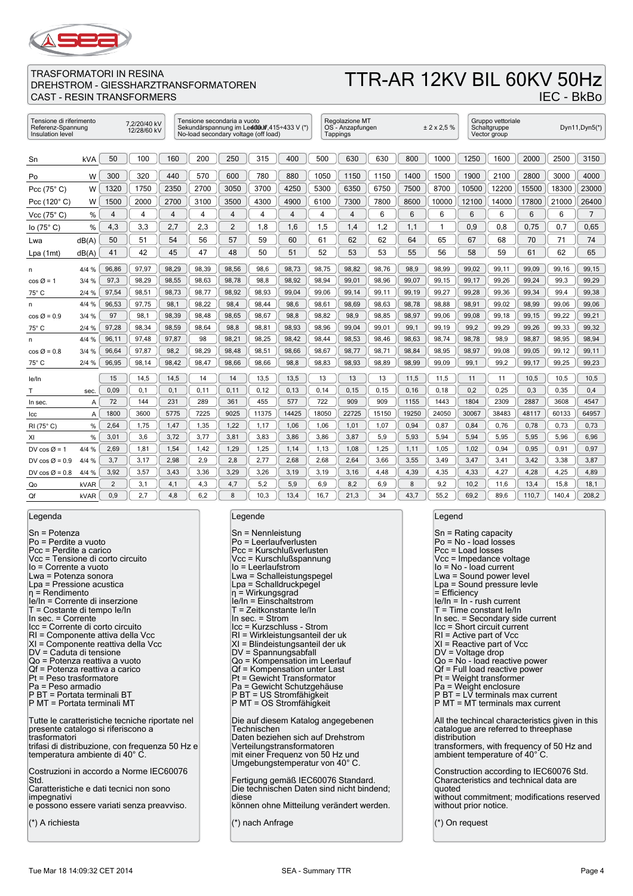

# TTR-AR 12KV BIL 60KV 50Hz

IEC - BkBo

### TRASFORMATORI IN RESINA DREHSTROM - GIESSHARZTRANSFORMATOREN CAST - RESIN TRANSFORMERS

| Insulation level           | Tensione di riferimento<br>7.2/20/40 kV<br>Referenz-Spannung<br>12/28/60 kV |                |       | Tensione secondaria a vuoto |       | No-load secondary voltage (off load) | Sekundärspannung im Led080f, 415÷433 V (*) |       | Regolazione MT<br>OS - Anzapfungen<br>Tappings |                |       | ± 2 x 2.5 % |       | Gruppo vettoriale<br>Schaltgruppe<br>Vector group |       |       | Dyn11, Dyn5(*) |                |
|----------------------------|-----------------------------------------------------------------------------|----------------|-------|-----------------------------|-------|--------------------------------------|--------------------------------------------|-------|------------------------------------------------|----------------|-------|-------------|-------|---------------------------------------------------|-------|-------|----------------|----------------|
| Sn                         | kVA                                                                         | 50             | 100   | 160                         | 200   | 250                                  | 315                                        | 400   | 500                                            | 630            | 630   | 800         | 1000  | 1250                                              | 1600  | 2000  | 2500           | 3150           |
| Po                         | W                                                                           | 300            | 320   | 440                         | 570   | 600                                  | 780                                        | 880   | 1050                                           | 1150           | 1150  | 1400        | 1500  | 1900                                              | 2100  | 2800  | 3000           | 4000           |
| Pcc $(75^{\circ} C)$       | W                                                                           | 1320           | 1750  | 2350                        | 2700  | 3050                                 | 3700                                       | 4250  | 5300                                           | 6350           | 6750  | 7500        | 8700  | 10500                                             | 12200 | 15500 | 18300          | 23000          |
| Pcc $(120^\circ C)$        | W                                                                           | 1500           | 2000  | 2700                        | 3100  | 3500                                 | 4300                                       | 4900  | 6100                                           | 7300           | 7800  | 8600        | 10000 | 12100                                             | 14000 | 17800 | 21000          | 26400          |
| Vcc $(75^{\circ} C)$       | %                                                                           | $\overline{4}$ | 4     | 4                           | 4     | $\overline{4}$                       | 4                                          | 4     | 4                                              | $\overline{4}$ | 6     | 6           | 6     | 6                                                 | 6     | 6     | 6              | $\overline{7}$ |
| lo $(75^{\circ} C)$        | %                                                                           | 4,3            | 3,3   | 2,7                         | 2,3   | $\overline{2}$                       | 1,8                                        | 1,6   | 1,5                                            | 1,4            | 1,2   | 1,1         | 1     | 0.9                                               | 0,8   | 0.75  | 0.7            | 0.65           |
| Lwa                        | dB(A)                                                                       | 50             | 51    | 54                          | 56    | 57                                   | 59                                         | 60    | 61                                             | 62             | 62    | 64          | 65    | 67                                                | 68    | 70    | 71             | 74             |
| Lpa(1mt)                   | dB(A)                                                                       | 41             | 42    | 45                          | 47    | 48                                   | 50                                         | 51    | 52                                             | 53             | 53    | 55          | 56    | 58                                                | 59    | 61    | 62             | 65             |
| n                          | 4/4%                                                                        | 96,86          | 97,97 | 98,29                       | 98,39 | 98,56                                | 98,6                                       | 98,73 | 98,75                                          | 98,82          | 98,76 | 98,9        | 98,99 | 99,02                                             | 99,11 | 99,09 | 99,16          | 99,15          |
| $\cos \varnothing = 1$     | 3/4%                                                                        | 97,3           | 98,29 | 98,55                       | 98.63 | 98,78                                | 98,8                                       | 98,92 | 98,94                                          | 99,01          | 98,96 | 99.07       | 99,15 | 99,17                                             | 99,26 | 99.24 | 99,3           | 99,29          |
| 75° C                      | 2/4%                                                                        | 97,54          | 98,51 | 98,73                       | 98,77 | 98,92                                | 98,93                                      | 99,04 | 99,06                                          | 99,14          | 99,11 | 99,19       | 99,27 | 99,28                                             | 99,36 | 99,34 | 99,4           | 99,38          |
| n                          | 4/4%                                                                        | 96,53          | 97,75 | 98,1                        | 98.22 | 98.4                                 | 98.44                                      | 98.6  | 98,61                                          | 98,69          | 98,63 | 98,78       | 98,88 | 98,91                                             | 99.02 | 98,99 | 99,06          | 99,06          |
| $\cos \varnothing = 0.9$   | 3/4%                                                                        | 97             | 98,1  | 98,39                       | 98,48 | 98,65                                | 98,67                                      | 98,8  | 98,82                                          | 98,9           | 98,85 | 98,97       | 99,06 | 99,08                                             | 99,18 | 99,15 | 99,22          | 99,21          |
| $75^{\circ}$ C             | 2/4%                                                                        | 97,28          | 98,34 | 98.59                       | 98.64 | 98,8                                 | 98,81                                      | 98,93 | 98,96                                          | 99.04          | 99,01 | 99,1        | 99,19 | 99,2                                              | 99,29 | 99,26 | 99,33          | 99,32          |
| n                          | 4/4%                                                                        | 96,11          | 97,48 | 97,87                       | 98    | 98,21                                | 98,25                                      | 98,42 | 98,44                                          | 98,53          | 98,46 | 98,63       | 98,74 | 98,78                                             | 98,9  | 98,87 | 98,95          | 98,94          |
| $\cos \varnothing = 0.8$   | 3/4%                                                                        | 96,64          | 97,87 | 98,2                        | 98.29 | 98.48                                | 98,51                                      | 98,66 | 98,67                                          | 98,77          | 98,71 | 98,84       | 98,95 | 98,97                                             | 99,08 | 99,05 | 99,12          | 99,11          |
| $75^{\circ}$ C             | 2/4%                                                                        | 96,95          | 98,14 | 98,42                       | 98,47 | 98,66                                | 98,66                                      | 98,8  | 98,83                                          | 98,93          | 98,89 | 98,99       | 99,09 | 99,1                                              | 99,2  | 99,17 | 99,25          | 99,23          |
| le/In                      |                                                                             | 15             | 14,5  | 14,5                        | 14    | 14                                   | 13,5                                       | 13,5  | 13                                             | 13             | 13    | 11,5        | 11,5  | 11                                                | 11    | 10,5  | 10,5           | 10,5           |
| т                          | sec.                                                                        | 0,09           | 0,1   | 0, 1                        | 0,11  | 0,11                                 | 0, 12                                      | 0, 13 | 0,14                                           | 0,15           | 0, 15 | 0, 16       | 0,18  | 0,2                                               | 0,25  | 0,3   | 0,35           | 0,4            |
| In sec.                    | A                                                                           | 72             | 144   | 231                         | 289   | 361                                  | 455                                        | 577   | 722                                            | 909            | 909   | 1155        | 1443  | 1804                                              | 2309  | 2887  | 3608           | 4547           |
| Icc                        | Α                                                                           | 1800           | 3600  | 5775                        | 7225  | 9025                                 | 11375                                      | 14425 | 18050                                          | 22725          | 15150 | 19250       | 24050 | 30067                                             | 38483 | 48117 | 60133          | 64957          |
| RI (75°C)                  | %                                                                           | 2,64           | 1,75  | 1,47                        | 1,35  | 1,22                                 | 1,17                                       | 1,06  | 1,06                                           | 1,01           | 1,07  | 0,94        | 0.87  | 0.84                                              | 0,76  | 0,78  | 0,73           | 0,73           |
| XI                         | %                                                                           | 3,01           | 3,6   | 3,72                        | 3,77  | 3,81                                 | 3,83                                       | 3,86  | 3,86                                           | 3,87           | 5,9   | 5,93        | 5,94  | 5,94                                              | 5,95  | 5,95  | 5,96           | 6,96           |
| DV $\cos \varnothing = 1$  | 4/4 %                                                                       | 2.69           | 1,81  | 1,54                        | 1,42  | 1,29                                 | 1,25                                       | 1,14  | 1,13                                           | 1,08           | 1,25  | 1,11        | 1,05  | 1.02                                              | 0,94  | 0.95  | 0.91           | 0.97           |
| DV cos $\varnothing$ = 0.9 | 4/4%                                                                        | 3,7            | 3,17  | 2,98                        | 2,9   | 2,8                                  | 2,77                                       | 2,68  | 2,68                                           | 2,64           | 3,66  | 3,55        | 3,49  | 3,47                                              | 3,41  | 3,42  | 3,38           | 3,87           |
| DV cos $\varnothing$ = 0.8 | 4/4%                                                                        | 3,92           | 3,57  | 3,43                        | 3,36  | 3,29                                 | 3,26                                       | 3,19  | 3,19                                           | 3,16           | 4,48  | 4,39        | 4,35  | 4,33                                              | 4,27  | 4,28  | 4,25           | 4.89           |
| Qo                         | kVAR                                                                        | 2              | 3,1   | 4,1                         | 4,3   | 4,7                                  | 5,2                                        | 5,9   | 6,9                                            | 8,2            | 6,9   | 8           | 9,2   | 10,2                                              | 11,6  | 13,4  | 15,8           | 18,1           |
| Qf                         | kVAR                                                                        | 0.9            | 2.7   | 4.8                         | 6.2   | 8                                    | 10.3                                       | 13.4  | 16.7                                           | 21.3           | 34    | 43.7        | 55.2  | 69.2                                              | 89.6  | 110.7 | 140.4          | 208.2          |

Legenda

Sn = Potenza Po = Perdite a vuoto Pcc = Perdite a carico Vcc = Tensione di corto circuito Io = Corrente a vuoto Lwa = Potenza sonora Lpa = Pressione acustica η = Rendimento Ie/In = Corrente di inserzione T = Costante di tempo Ie/In In sec. = Corrente Icc = Corrente di corto circuito RI = Componente attiva della Vcc XI = Componente reattiva della Vcc DV = Caduta di tensione Qo = Potenza reattiva a vuoto Qf = Potenza reattiva a carico Pt = Peso trasformatore Pa = Peso armadio P BT = Portata terminali BT P MT = Portata terminali MT Tutte le caratteristiche tecniche riportate nel presente catalogo si riferiscono a trasformatori trifasi di distribuzione, con frequenza 50 Hz e temperatura ambiente di 40° C. Costruzioni in accordo a Norme IEC60076 Std. Caratteristiche e dati tecnici non sono impegnativi e possono essere variati senza preavviso. (\*) A richiesta

#### Legende

| $Sn = Nennleistung$<br>Po = Leerlaufverlusten<br>Pcc = Kurschlußverlusten<br>Vcc = Kurschlußspannung<br>lo = Leerlaufstrom<br>Lwa = Schalleistungspegel<br>Lpa = Schalldruckpegel<br>$\eta$ = Wirkungsgrad<br>le/In = Einschaltstrom<br>T = Zeitkonstante le/In<br>In sec. $=$ Strom<br>Icc = Kurzschluss - Strom<br>RI = Wirkleistungsanteil der uk<br>XI = Blindeistungsanteil der uk<br>$DV =$ Spannungsabfall<br>Qo = Kompensation im Leerlauf<br>Qf = Kompensation unter Last<br>Pt = Gewicht Transformator<br>Pa = Gewicht Schutzgehäuse<br>P BT = US Stromfähigkeit<br>P MT = OS Stromfähigkeit |
|--------------------------------------------------------------------------------------------------------------------------------------------------------------------------------------------------------------------------------------------------------------------------------------------------------------------------------------------------------------------------------------------------------------------------------------------------------------------------------------------------------------------------------------------------------------------------------------------------------|
| Die auf diesem Katalog angegebenen<br>Technischen<br>Daten beziehen sich auf Drehstrom<br>Verteilungstransformatoren<br>mit einer Frequenz von 50 Hz und<br>Umgebungstemperatur von 40°C.                                                                                                                                                                                                                                                                                                                                                                                                              |
| Fertigung gemäß IEC60076 Standard.<br>Die technischen Daten sind nicht bindend;<br>diese<br>können ohne Mitteilung verändert werden.                                                                                                                                                                                                                                                                                                                                                                                                                                                                   |

(\*) nach Anfrage

### Legend

Sn = Rating capacity Po = No - load losses Pcc = Load losses Vcc = Impedance voltage Io = No - load current Lwa = Sound power level Lpa = Sound pressure levle  $=$  Efficiency Ie/In = In - rush current T = Time constant Ie/In In sec. = Secondary side current Icc = Short circuit current RI = Active part of Vcc XI = Reactive part of Vcc DV = Voltage drop Qo = No - load reactive power  $Qf = Full load reactive power$ Pt = Weight transformer Pa = Weight enclosure P BT = LV terminals max current P MT = MT terminals max current All the techincal characteristics given in this catalogue are referred to threephase distribution transformers, with frequency of 50 Hz and ambient temperature of 40°C. Construction according to IEC60076 Std. Characteristics and technical data are quoted without commitment; modifications reserved without prior notice. (\*) On request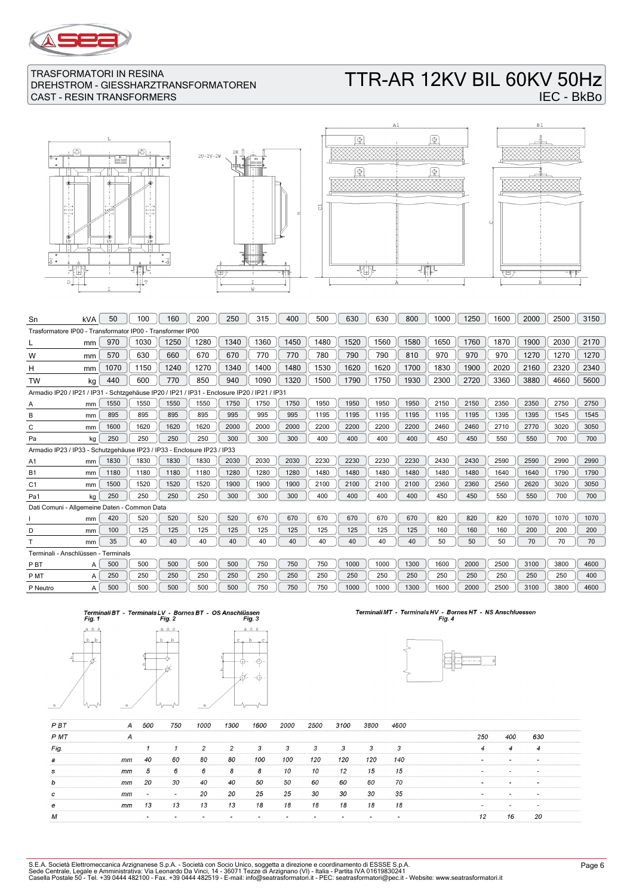

# TTR-AR 12KV BIL 60KV 50Hz IEC - BkBo







| Sn                                                                                          | kVA | 50   | 100  | 160  | 200  | 250  | 315  | 400  | 500  | 630  | 630  | 800  | 1000 | 1250 | 1600 | 2000 | 2500 | 3150 |
|---------------------------------------------------------------------------------------------|-----|------|------|------|------|------|------|------|------|------|------|------|------|------|------|------|------|------|
| Trasformatore IP00 - Transformator IP00 - Transformer IP00                                  |     |      |      |      |      |      |      |      |      |      |      |      |      |      |      |      |      |      |
|                                                                                             | mm  | 970  | 1030 | 1250 | 1280 | 1340 | 1360 | 1450 | 1480 | 1520 | 1560 | 1580 | 1650 | 1760 | 1870 | 1900 | 2030 | 2170 |
| W                                                                                           | mm  | 570  | 630  | 660  | 670  | 670  | 770  | 770  | 780  | 790  | 790  | 810  | 970  | 970  | 970  | 1270 | 1270 | 1270 |
| н                                                                                           | mm  | 1070 | 1150 | 1240 | 1270 | 1340 | 1400 | 1480 | 1530 | 1620 | 1620 | 1700 | 1830 | 1900 | 2020 | 2160 | 2320 | 2340 |
| <b>TW</b>                                                                                   | kg  | 440  | 600  | 770  | 850  | 940  | 1090 | 1320 | 1500 | 1790 | 1750 | 1930 | 2300 | 2720 | 3360 | 3880 | 4660 | 5600 |
| Armadio IP20 / IP21 / IP31 - Schtzgehäuse IP20 / IP21 / IP31 - Enclosure IP20 / IP21 / IP31 |     |      |      |      |      |      |      |      |      |      |      |      |      |      |      |      |      |      |
| Α                                                                                           | mm  | 1550 | 1550 | 1550 | 1550 | 1750 | 1750 | 1750 | 1950 | 1950 | 1950 | 1950 | 2150 | 2150 | 2350 | 2350 | 2750 | 2750 |
| B                                                                                           | mm  | 895  | 895  | 895  | 895  | 995  | 995  | 995  | 1195 | 1195 | 1195 | 1195 | 1195 | 1195 | 1395 | 1395 | 1545 | 1545 |
| C                                                                                           | mm  | 1600 | 1620 | 1620 | 1620 | 2000 | 2000 | 2000 | 2200 | 2200 | 2200 | 2200 | 2460 | 2460 | 2710 | 2770 | 3020 | 3050 |
| Pa                                                                                          | kg  | 250  | 250  | 250  | 250  | 300  | 300  | 300  | 400  | 400  | 400  | 400  | 450  | 450  | 550  | 550  | 700  | 700  |
| Armadio IP23 / IP33 - Schutzgehäuse IP23 / IP33 - Enclosure IP23 / IP33                     |     |      |      |      |      |      |      |      |      |      |      |      |      |      |      |      |      |      |
| A <sub>1</sub>                                                                              | mm  | 1830 | 1830 | 1830 | 1830 | 2030 | 2030 | 2030 | 2230 | 2230 | 2230 | 2230 | 2430 | 2430 | 2590 | 2590 | 2990 | 2990 |
| <b>B1</b>                                                                                   | mm  | 1180 | 1180 | 1180 | 1180 | 1280 | 1280 | 1280 | 1480 | 1480 | 1480 | 1480 | 1480 | 1480 | 1640 | 1640 | 1790 | 1790 |
| C <sub>1</sub>                                                                              | mm  | 1500 | 1520 | 1520 | 1520 | 1900 | 1900 | 1900 | 2100 | 2100 | 2100 | 2100 | 2360 | 2360 | 2560 | 2620 | 3020 | 3050 |
| Pa1                                                                                         | kq  | 250  | 250  | 250  | 250  | 300  | 300  | 300  | 400  | 400  | 400  | 400  | 450  | 450  | 550  | 550  | 700  | 700  |
| Dati Comuni - Allgemeine Daten - Common Data                                                |     |      |      |      |      |      |      |      |      |      |      |      |      |      |      |      |      |      |
|                                                                                             | mm  | 420  | 520  | 520  | 520  | 520  | 670  | 670  | 670  | 670  | 670  | 670  | 820  | 820  | 820  | 1070 | 1070 | 1070 |
| D                                                                                           | mm  | 100  | 125  | 125  | 125  | 125  | 125  | 125  | 125  | 125  | 125  | 125  | 160  | 160  | 160  | 200  | 200  | 200  |
|                                                                                             | mm  | 35   | 40   | 40   | 40   | 40   | 40   | 40   | 40   | 40   | 40   | 40   | 50   | 50   | 50   | 70   | 70   | 70   |
| Terminali - Anschlüssen - Terminals                                                         |     |      |      |      |      |      |      |      |      |      |      |      |      |      |      |      |      |      |
| P <sub>B</sub> T                                                                            | A   | 500  | 500  | 500  | 500  | 500  | 750  | 750  | 750  | 1000 | 1000 | 1300 | 1600 | 2000 | 2500 | 3100 | 3800 | 4600 |
| P MT                                                                                        | A   | 250  | 250  | 250  | 250  | 250  | 250  | 250  | 250  | 250  | 250  | 250  | 250  | 250  | 250  | 250  | 250  | 400  |
| P Neutro                                                                                    | A   | 500  | 500  | 500  | 500  | 500  | 750  | 750  | 750  | 1000 | 1000 | 1300 | 1600 | 2000 | 2500 | 3100 | 3800 | 4600 |









| <b>PBT</b> | A  | 500                      | 750                      | 1000 | 1300 | 1600 | 2000 | 2500 | 3100 | 3800 | 4600 |                          |                          |                          |  |
|------------|----|--------------------------|--------------------------|------|------|------|------|------|------|------|------|--------------------------|--------------------------|--------------------------|--|
| P MT       | A  |                          |                          |      |      |      |      |      |      |      |      | 250                      | 400                      | 630                      |  |
| Fig.       |    |                          |                          | 2    | 2    | 3    | 3    | 3    | 3    | 3    | 3    | $\overline{4}$           | $\overline{4}$           | 4                        |  |
| а          | mm | 40                       | 60                       | 80   | 80   | 100  | 100  | 120  | 120  | 120  | 140  |                          | $\overline{\phantom{a}}$ | ۰                        |  |
| s          | mm | 5                        | 6                        | 6    | 8    | 8    | 10   | 10   | 12   | 15   | 15   | -                        |                          | $\overline{\phantom{a}}$ |  |
| b          | mm | 20                       | 30                       | 40   | 40   | 50   | 50   | 60   | 60   | 60   | 70   | $\overline{\phantom{a}}$ | $\overline{\phantom{a}}$ | $\sim$                   |  |
| c          | mm | $\overline{\phantom{0}}$ | $\overline{\phantom{a}}$ | 20   | 20   | 25   | 25   | 30   | 30   | 30   | 35   | $\overline{\phantom{0}}$ | $\overline{\phantom{a}}$ | $\overline{\phantom{0}}$ |  |
| е          | mm | 13                       | 13                       | 13   | 13   | 18   | 18   | 18   | 18   | 18   | 18   |                          |                          | $\overline{\phantom{a}}$ |  |
| М          |    | $\overline{\phantom{a}}$ |                          |      |      |      | ۰    |      |      |      |      | 12                       | 16                       | 20                       |  |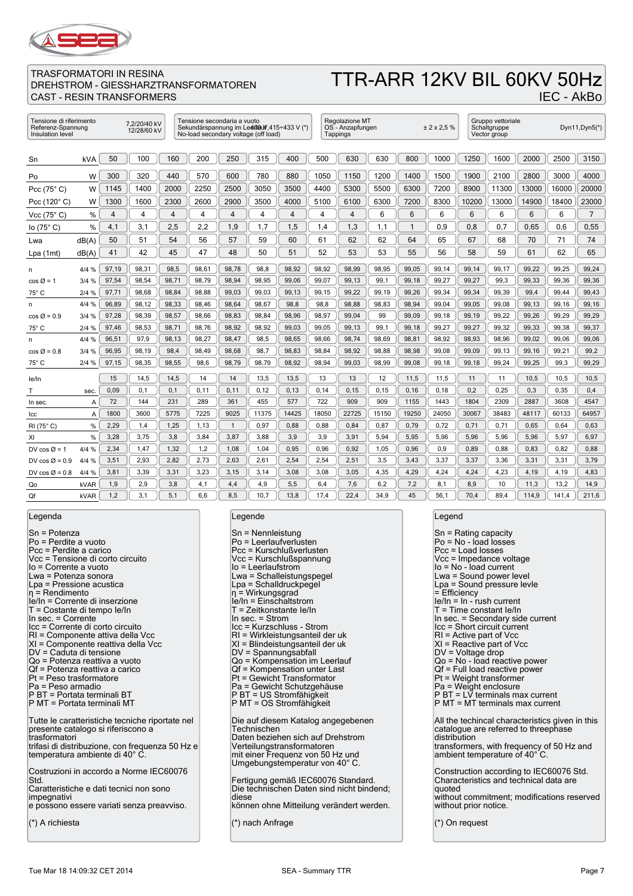

# TTR-ARR 12KV BIL 60KV 50Hz

IEC - AkBo

### TRASFORMATORI IN RESINA DREHSTROM - GIESSHARZTRANSFORMATOREN CAST - RESIN TRANSFORMERS

| Tensione di riferimento<br>7,2/20/40 kV<br>Referenz-Spannung<br>12/28/60 kV<br>Insulation level |                |                |       |       | Tensione secondaria a vuoto<br>No-load secondary voltage (off load) |              |       | Sekundärspannung im Led08uff, 415÷433 V (*) |                | Regolazione MT<br>OS - Anzapfungen<br>Tappings |       |       | ± 2 × 2.5 % |       | Gruppo vettoriale<br>Schaltgruppe<br>Vector group |       |       | Dyn $11$ , Dyn $5$ <sup>*</sup> ) |
|-------------------------------------------------------------------------------------------------|----------------|----------------|-------|-------|---------------------------------------------------------------------|--------------|-------|---------------------------------------------|----------------|------------------------------------------------|-------|-------|-------------|-------|---------------------------------------------------|-------|-------|-----------------------------------|
|                                                                                                 |                |                |       |       |                                                                     |              |       |                                             |                |                                                |       |       |             |       |                                                   |       |       |                                   |
| Sn                                                                                              | kVA            | 50             | 100   | 160   | 200                                                                 | 250          | 315   | 400                                         | 500            | 630                                            | 630   | 800   | 1000        | 1250  | 1600                                              | 2000  | 2500  | 3150                              |
| Po                                                                                              | W              | 300            | 320   | 440   | 570                                                                 | 600          | 780   | 880                                         | 1050           | 1150                                           | 1200  | 1400  | 1500        | 1900  | 2100                                              | 2800  | 3000  | 4000                              |
| Pcc $(75^{\circ} C)$                                                                            | W              | 1145           | 1400  | 2000  | 2250                                                                | 2500         | 3050  | 3500                                        | 4400           | 5300                                           | 5500  | 6300  | 7200        | 8900  | 11300                                             | 13000 | 16000 | 20000                             |
| Pcc (120°C)                                                                                     | W              | 1300           | 1600  | 2300  | 2600                                                                | 2900         | 3500  | 4000                                        | 5100           | 6100                                           | 6300  | 7200  | 8300        | 10200 | 13000                                             | 14900 | 18400 | 23000                             |
| Vcc $(75^{\circ} C)$                                                                            | %              | $\overline{4}$ | 4     | 4     | 4                                                                   | 4            | 4     | $\overline{4}$                              | $\overline{4}$ | 4                                              | 6     | 6     | 6           | 6     | 6                                                 | 6     | 6     | $\overline{7}$                    |
| lo $(75^{\circ} C)$                                                                             | %              | 4,1            | 3,1   | 2,5   | 2,2                                                                 | 1,9          | 1,7   | 1,5                                         | 1,4            | 1,3                                            | 1,1   | 1     | 0,9         | 0,8   | 0,7                                               | 0,65  | 0.6   | 0,55                              |
| Lwa                                                                                             | dB(A)          | 50             | 51    | 54    | 56                                                                  | 57           | 59    | 60                                          | 61             | 62                                             | 62    | 64    | 65          | 67    | 68                                                | 70    | 71    | 74                                |
| Lpa (1mt)                                                                                       | dB(A)          | 41             | 42    | 45    | 47                                                                  | 48           | 50    | 51                                          | 52             | 53                                             | 53    | 55    | 56          | 58    | 59                                                | 61    | 62    | 65                                |
| n                                                                                               | 4/4 %          | 97,19          | 98,31 | 98,5  | 98,61                                                               | 98,78        | 98,8  | 98,92                                       | 98,92          | 98,99                                          | 98,95 | 99,05 | 99,14       | 99,14 | 99,17                                             | 99,22 | 99,25 | 99,24                             |
| $\cos \varnothing = 1$                                                                          | 3/4%           | 97,54          | 98,54 | 98,71 | 98,79                                                               | 98,94        | 98,95 | 99,06                                       | 99,07          | 99,13                                          | 99,1  | 99,18 | 99,27       | 99,27 | 99,3                                              | 99,33 | 99,36 | 99,36                             |
| 75° C                                                                                           | 2/4%           | 97,71          | 98,68 | 98.84 | 98,88                                                               | 99,03        | 99,03 | 99,13                                       | 99,15          | 99,22                                          | 99.19 | 99.26 | 99.34       | 99.34 | 99.39                                             | 99.4  | 99.44 | 99.43                             |
| n                                                                                               | 4/4%           | 96,89          | 98,12 | 98,33 | 98,46                                                               | 98,64        | 98,67 | 98,8                                        | 98,8           | 98,88                                          | 98,83 | 98,94 | 99,04       | 99,05 | 99,08                                             | 99,13 | 99,16 | 99,16                             |
| $\cos \varnothing = 0.9$                                                                        | 3/4%           | 97,28          | 98,39 | 98,57 | 98,66                                                               | 98,83        | 98,84 | 98,96                                       | 98,97          | 99,04                                          | 99    | 99,09 | 99,18       | 99,19 | 99,22                                             | 99,26 | 99,29 | 99,29                             |
| 75° C                                                                                           | 2/4%           | 97,46          | 98,53 | 98,71 | 98,76                                                               | 98,92        | 98,92 | 99,03                                       | 99,05          | 99,13                                          | 99,1  | 99,18 | 99,27       | 99,27 | 99,32                                             | 99,33 | 99,38 | 99,37                             |
| n                                                                                               | 4/4%           | 96,51          | 97,9  | 98,13 | 98,27                                                               | 98,47        | 98,5  | 98,65                                       | 98,66          | 98,74                                          | 98,69 | 98,81 | 98,92       | 98,93 | 98,96                                             | 99,02 | 99,06 | 99,06                             |
| $\cos \varnothing = 0.8$                                                                        | 3/4%           | 96,95          | 98,19 | 98,4  | 98,49                                                               | 98,68        | 98,7  | 98,83                                       | 98,84          | 98,92                                          | 98,88 | 98,98 | 99,08       | 99,09 | 99,13                                             | 99,16 | 99,21 | 99,2                              |
| 75° C                                                                                           | 2/4%           | 97,15          | 98,35 | 98,55 | 98,6                                                                | 98,79        | 98,79 | 98,92                                       | 98,94          | 99,03                                          | 98,99 | 99,08 | 99,18       | 99,18 | 99,24                                             | 99,25 | 99,3  | 99,29                             |
| le/In                                                                                           |                | 15             | 14,5  | 14,5  | 14                                                                  | 14           | 13,5  | 13,5                                        | 13             | 13                                             | 12    | 11,5  | 11,5        | 11    | 11                                                | 10,5  | 10,5  | 10,5                              |
| т                                                                                               | sec.           | 0,09           | 0.1   | 0,1   | 0,11                                                                | 0,11         | 0, 12 | 0, 13                                       | 0,14           | 0, 15                                          | 0, 15 | 0, 16 | 0,18        | 0,2   | 0,25                                              | 0,3   | 0,35  | 0,4                               |
| In sec.                                                                                         | $\overline{A}$ | 72             | 144   | 231   | 289                                                                 | 361          | 455   | 577                                         | 722            | 909                                            | 909   | 1155  | 1443        | 1804  | 2309                                              | 2887  | 3608  | 4547                              |
| Icc                                                                                             | $\overline{A}$ | 1800           | 3600  | 5775  | 7225                                                                | 9025         | 11375 | 14425                                       | 18050          | 22725                                          | 15150 | 19250 | 24050       | 30067 | 38483                                             | 48117 | 60133 | 64957                             |
| RI (75°C)                                                                                       | %              | 2,29           | 1,4   | 1,25  | 1,13                                                                | $\mathbf{1}$ | 0,97  | 0,88                                        | 0,88           | 0,84                                           | 0,87  | 0,79  | 0,72        | 0,71  | 0,71                                              | 0,65  | 0,64  | 0,63                              |
| XI                                                                                              | %              | 3,28           | 3,75  | 3,8   | 3,84                                                                | 3,87         | 3,88  | 3,9                                         | 3,9            | 3,91                                           | 5,94  | 5,95  | 5,96        | 5,96  | 5,96                                              | 5,96  | 5,97  | 6,97                              |
| DV cos $\varnothing$ = 1                                                                        | 4/4%           | 2,34           | 1,47  | 1,32  | 1,2                                                                 | 1,08         | 1,04  | 0.95                                        | 0.96           | 0.92                                           | 1,05  | 0.96  | 0.9         | 0.89  | 0.88                                              | 0.83  | 0.82  | 0,88                              |
| DV $\cos \varnothing = 0.9$                                                                     | 4/4%           | 3,51           | 2,93  | 2,82  | 2,73                                                                | 2,63         | 2,61  | 2,54                                        | 2,54           | 2,51                                           | 3,5   | 3,43  | 3,37        | 3,37  | 3,36                                              | 3,31  | 3,31  | 3,79                              |
| DV cos $\varnothing$ = 0.8                                                                      | 4/4 %          | 3,81           | 3,39  | 3,31  | 3,23                                                                | 3,15         | 3,14  | 3,08                                        | 3,08           | 3,05                                           | 4,35  | 4,29  | 4,24        | 4,24  | 4,23                                              | 4,19  | 4,19  | 4,83                              |
| Qo                                                                                              | kVAR           | 1,9            | 2,9   | 3,8   | 4,1                                                                 | 4,4          | 4,9   | 5,5                                         | 6,4            | 7,6                                            | 6,2   | 7,2   | 8,1         | 8,9   | 10                                                | 11,3  | 13,2  | 14,9                              |
| Qf                                                                                              | kVAR           | 1,2            | 3,1   | 5,1   | 6,6                                                                 | 8,5          | 10,7  | 13,8                                        | 17,4           | 22,4                                           | 34.9  | 45    | 56,1        | 70,4  | 89.4                                              | 114,9 | 141,4 | 211,6                             |

Legenda

Sn = Potenza Po = Perdite a vuoto Pcc = Perdite a carico Vcc = Tensione di corto circuito Io = Corrente a vuoto Lwa = Potenza sonora Lpa = Pressione acustica η = Rendimento Ie/In = Corrente di inserzione T = Costante di tempo Ie/In In sec. = Corrente Icc = Corrente di corto circuito RI = Componente attiva della Vcc XI = Componente reattiva della Vcc DV = Caduta di tensione Qo = Potenza reattiva a vuoto Qf = Potenza reattiva a carico Pt = Peso trasformatore Pa = Peso armadio P BT = Portata terminali BT P MT = Portata terminali MT Tutte le caratteristiche tecniche riportate nel presente catalogo si riferiscono a trasformatori trifasi di distribuzione, con frequenza 50 Hz e temperatura ambiente di 40° C. Costruzioni in accordo a Norme IEC60076 Std. Caratteristiche e dati tecnici non sono impegnativi e possono essere variati senza preavviso. (\*) A richiesta

#### Legende

| $Sn = Nennleistung$<br>Po = Leerlaufverlusten<br>Pcc = Kurschlußverlusten<br>Vcc = Kurschlußspannung<br>lo = Leerlaufstrom<br>Lwa = Schalleistungspegel<br>Lpa = Schalldruckpegel<br>$\eta$ = Wirkungsgrad<br>le/In = Einschaltstrom<br>T = Zeitkonstante le/In<br>In sec. $=$ Strom<br>Icc = Kurzschluss - Strom<br>RI = Wirkleistungsanteil der uk<br>XI = Blindeistungsanteil der uk<br>DV = Spannungsabfall<br>Qo = Kompensation im Leerlauf<br>Qf = Kompensation unter Last<br>Pt = Gewicht Transformator<br>Pa = Gewicht Schutzgehäuse<br>P BT = US Stromfähigkeit<br>P MT = OS Stromfähigkeit |
|------------------------------------------------------------------------------------------------------------------------------------------------------------------------------------------------------------------------------------------------------------------------------------------------------------------------------------------------------------------------------------------------------------------------------------------------------------------------------------------------------------------------------------------------------------------------------------------------------|
| Die auf diesem Katalog angegebenen<br>Technischen<br>Daten beziehen sich auf Drehstrom<br>Verteilungstransformatoren<br>mit einer Frequenz von 50 Hz und<br>Umgebungstemperatur von 40°C.                                                                                                                                                                                                                                                                                                                                                                                                            |
| Fertigung gemäß IEC60076 Standard.<br>Die technischen Daten sind nicht bindend;<br>diese<br>können ohne Mitteilung verändert werden.                                                                                                                                                                                                                                                                                                                                                                                                                                                                 |

(\*) nach Anfrage

#### Legend

| Sn = Rating capacity                                                                                    |
|---------------------------------------------------------------------------------------------------------|
| Po = No - load losses<br>Pcc = Load losses                                                              |
| Vcc = Impedance voltage                                                                                 |
| lo = No - load current<br>Lwa = Sound power level                                                       |
| Lpa = Sound pressure levle                                                                              |
| $=$ Efficiency<br>$ e/ n =  n - r$ ush current                                                          |
| T = Time constant le/In                                                                                 |
| In sec. = Secondary side current<br>Icc = Short circuit current                                         |
| $RI =$ Active part of Vcc<br>XI = Reactive part of Vcc                                                  |
| DV = Voltage drop                                                                                       |
| Qo = No - load reactive power<br>Qf = Full load reactive power                                          |
| Pt = Weight transformer                                                                                 |
| Pa = Weight enclosure<br>P BT = LV terminals max current                                                |
| P MT = MT terminals max current                                                                         |
| All the techincal characteristics given in this<br>catalogue are referred to threephase<br>distribution |
| transformers, with frequency of 50 Hz and<br>ambient temperature of 40°C.                               |
| Construction according to IEC60076 Std.<br>Characteristics and technical data are                       |
| quoted<br>without commitment; modifications reserved<br>without prior notice.                           |
| (*) On request                                                                                          |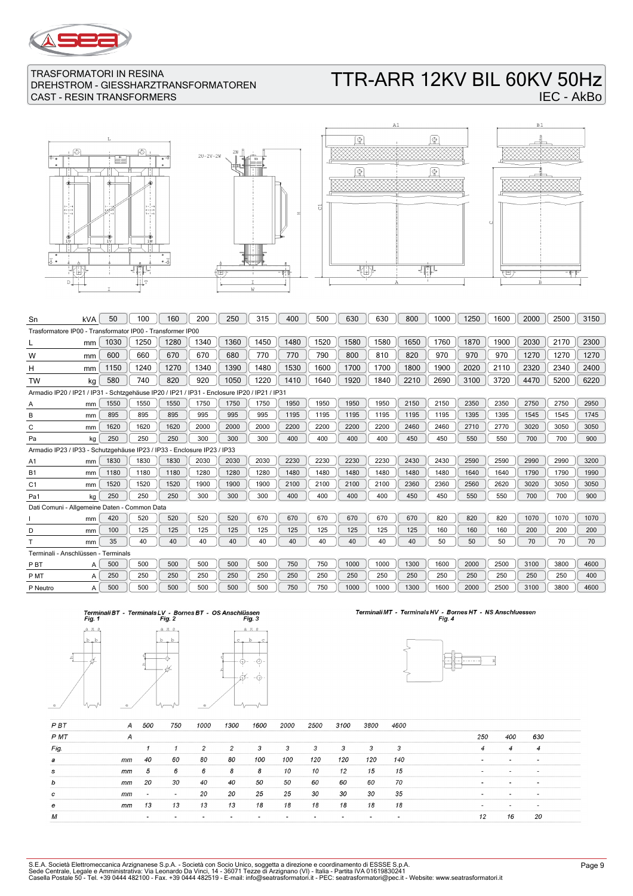

# TTR-ARR 12KV BIL 60KV 50Hz IEC - AkBo







| Sn                                                                                          | kVA                                                                     | 50   | 100  | 160  | 200  | 250  | 315  | 400  | 500  | 630  | 630  | 800  | 1000 | 1250 | 1600 | 2000 | 2500 | 3150 |
|---------------------------------------------------------------------------------------------|-------------------------------------------------------------------------|------|------|------|------|------|------|------|------|------|------|------|------|------|------|------|------|------|
| Trasformatore IP00 - Transformator IP00 - Transformer IP00                                  |                                                                         |      |      |      |      |      |      |      |      |      |      |      |      |      |      |      |      |      |
|                                                                                             | mm                                                                      | 1030 | 1250 | 1280 | 1340 | 1360 | 1450 | 1480 | 1520 | 1580 | 1580 | 1650 | 1760 | 1870 | 1900 | 2030 | 2170 | 2300 |
| W                                                                                           | mm                                                                      | 600  | 660  | 670  | 670  | 680  | 770  | 770  | 790  | 800  | 810  | 820  | 970  | 970  | 970  | 1270 | 1270 | 1270 |
| н                                                                                           | mm                                                                      | 1150 | 1240 | 1270 | 1340 | 1390 | 1480 | 1530 | 1600 | 1700 | 1700 | 1800 | 1900 | 2020 | 2110 | 2320 | 2340 | 2400 |
| <b>TW</b>                                                                                   | kg                                                                      | 580  | 740  | 820  | 920  | 1050 | 1220 | 1410 | 1640 | 1920 | 1840 | 2210 | 2690 | 3100 | 3720 | 4470 | 5200 | 6220 |
| Armadio IP20 / IP21 / IP31 - Schtzgehäuse IP20 / IP21 / IP31 - Enclosure IP20 / IP21 / IP31 |                                                                         |      |      |      |      |      |      |      |      |      |      |      |      |      |      |      |      |      |
| Α                                                                                           | mm                                                                      | 1550 | 1550 | 1550 | 1750 | 1750 | 1750 | 1950 | 1950 | 1950 | 1950 | 2150 | 2150 | 2350 | 2350 | 2750 | 2750 | 2950 |
| B                                                                                           | mm                                                                      | 895  | 895  | 895  | 995  | 995  | 995  | 1195 | 1195 | 1195 | 1195 | 1195 | 1195 | 1395 | 1395 | 1545 | 1545 | 1745 |
| C                                                                                           | mm                                                                      | 1620 | 1620 | 1620 | 2000 | 2000 | 2000 | 2200 | 2200 | 2200 | 2200 | 2460 | 2460 | 2710 | 2770 | 3020 | 3050 | 3050 |
| Pa                                                                                          | kg                                                                      | 250  | 250  | 250  | 300  | 300  | 300  | 400  | 400  | 400  | 400  | 450  | 450  | 550  | 550  | 700  | 700  | 900  |
|                                                                                             | Armadio IP23 / IP33 - Schutzgehäuse IP23 / IP33 - Enclosure IP23 / IP33 |      |      |      |      |      |      |      |      |      |      |      |      |      |      |      |      |      |
| A <sub>1</sub>                                                                              | mm                                                                      | 1830 | 1830 | 1830 | 2030 | 2030 | 2030 | 2230 | 2230 | 2230 | 2230 | 2430 | 2430 | 2590 | 2590 | 2990 | 2990 | 3200 |
| <b>B1</b>                                                                                   | mm                                                                      | 1180 | 1180 | 1180 | 1280 | 1280 | 1280 | 1480 | 1480 | 1480 | 1480 | 1480 | 1480 | 1640 | 1640 | 1790 | 1790 | 1990 |
| C <sub>1</sub>                                                                              | mm                                                                      | 1520 | 1520 | 1520 | 1900 | 1900 | 1900 | 2100 | 2100 | 2100 | 2100 | 2360 | 2360 | 2560 | 2620 | 3020 | 3050 | 3050 |
| Pa1                                                                                         | kg                                                                      | 250  | 250  | 250  | 300  | 300  | 300  | 400  | 400  | 400  | 400  | 450  | 450  | 550  | 550  | 700  | 700  | 900  |
| Dati Comuni - Allgemeine Daten - Common Data                                                |                                                                         |      |      |      |      |      |      |      |      |      |      |      |      |      |      |      |      |      |
|                                                                                             | mm                                                                      | 420  | 520  | 520  | 520  | 520  | 670  | 670  | 670  | 670  | 670  | 670  | 820  | 820  | 820  | 1070 | 1070 | 1070 |
| D                                                                                           | mm                                                                      | 100  | 125  | 125  | 125  | 125  | 125  | 125  | 125  | 125  | 125  | 125  | 160  | 160  | 160  | 200  | 200  | 200  |
|                                                                                             | mm                                                                      | 35   | 40   | 40   | 40   | 40   | 40   | 40   | 40   | 40   | 40   | 40   | 50   | 50   | 50   | 70   | 70   | 70   |
| Terminali - Anschlüssen - Terminals                                                         |                                                                         |      |      |      |      |      |      |      |      |      |      |      |      |      |      |      |      |      |
| P <sub>B</sub> T                                                                            | A                                                                       | 500  | 500  | 500  | 500  | 500  | 500  | 750  | 750  | 1000 | 1000 | 1300 | 1600 | 2000 | 2500 | 3100 | 3800 | 4600 |
| P MT                                                                                        | A                                                                       | 250  | 250  | 250  | 250  | 250  | 250  | 250  | 250  | 250  | 250  | 250  | 250  | 250  | 250  | 250  | 250  | 400  |
| P Neutro                                                                                    | А                                                                       | 500  | 500  | 500  | 500  | 500  | 500  | 750  | 750  | 1000 | 1000 | 1300 | 1600 | 2000 | 2500 | 3100 | 3800 | 4600 |
|                                                                                             |                                                                         |      |      |      |      |      |      |      |      |      |      |      |      |      |      |      |      |      |





# Terminali MT - Terminals HV - Bornes HT - NS Anschluessen<br>Fig. 4



| P <sub>B</sub> T | А  | 500                      | 750    | 1000 | 1300 | 1600 | 2000 | 2500 | 3100 | 3800 | 4600 |        |                          |                          |  |
|------------------|----|--------------------------|--------|------|------|------|------|------|------|------|------|--------|--------------------------|--------------------------|--|
| P MT             | А  |                          |        |      |      |      |      |      |      |      |      | 250    | 400                      | 630                      |  |
| Fig.             |    |                          |        | 2    | 2    | 3    | 3    | 3    | 3    | 3    | 3    | 4      | 4                        | 4                        |  |
| а                | mm | 40                       | 60     | 80   | 80   | 100  | 100  | 120  | 120  | 120  | 140  | $\sim$ | $\overline{\phantom{a}}$ |                          |  |
| s                | mm | 5                        | 6      | 6    | 8    | 8    | 10   | 10   | 12   | 15   | 15   | -      |                          | $\overline{\phantom{a}}$ |  |
| b                | mm | 20                       | 30     | 40   | 40   | 50   | 50   | 60   | 60   | 60   | 70   |        | $\overline{\phantom{a}}$ | $\overline{\phantom{a}}$ |  |
| c                | mm | $\overline{\phantom{0}}$ | $\sim$ | 20   | 20   | 25   | 25   | 30   | 30   | 30   | 35   | -      | $\overline{\phantom{0}}$ | $\,$                     |  |
| е                | mm | 13                       | 13     | 13   | 13   | 18   | 18   | 18   | 18   | 18   | 18   |        |                          |                          |  |
| М                |    |                          |        |      |      |      |      |      |      |      |      | 12     | 16                       | -20                      |  |

 $\overline{\mathbb{F}}$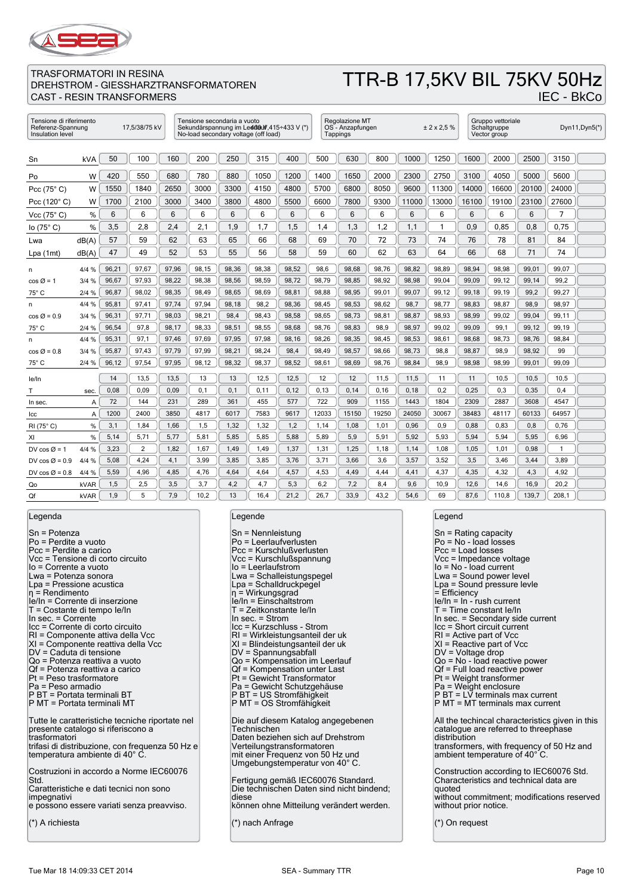

### TTR-B 17,5KV BIL 75KV 50Hz IEC - BkCo

| Tensione di riferimento<br>Referenz-Spannung<br>Insulation level |            |       | 17,5/38/75 kV |       | Tensione secondaria a vuoto<br>No-load secondary voltage (off load) |       |       | Sekundärspannung im Led08uff, 415÷433 V (*) |       | Regolazione MT<br>OS - Anzapfungen<br>Tappings |       |       | ± 2 × 2.5 % |       | Gruppo vettoriale<br>Schaltgruppe<br>Vector group |       |       | Dyn11, Dyn5(*) |
|------------------------------------------------------------------|------------|-------|---------------|-------|---------------------------------------------------------------------|-------|-------|---------------------------------------------|-------|------------------------------------------------|-------|-------|-------------|-------|---------------------------------------------------|-------|-------|----------------|
|                                                                  |            |       |               |       |                                                                     |       |       |                                             |       |                                                |       |       |             |       |                                                   |       |       |                |
| Sn                                                               | <b>kVA</b> | 50    | 100           | 160   | 200                                                                 | 250   | 315   | 400                                         | 500   | 630                                            | 800   | 1000  | 1250        | 1600  | 2000                                              | 2500  | 3150  |                |
| Po                                                               | W          | 420   | 550           | 680   | 780                                                                 | 880   | 1050  | 1200                                        | 1400  | 1650                                           | 2000  | 2300  | 2750        | 3100  | 4050                                              | 5000  | 5600  |                |
| Pcc $(75^{\circ} C)$                                             | W          | 1550  | 1840          | 2650  | 3000                                                                | 3300  | 4150  | 4800                                        | 5700  | 6800                                           | 8050  | 9600  | 11300       | 14000 | 16600                                             | 20100 | 24000 |                |
| Pcc $(120^\circ C)$                                              | W          | 1700  | 2100          | 3000  | 3400                                                                | 3800  | 4800  | 5500                                        | 6600  | 7800                                           | 9300  | 11000 | 13000       | 16100 | 19100                                             | 23100 | 27600 |                |
| Vcc $(75^{\circ} C)$                                             | %          | 6     | 6             | 6     | 6                                                                   | 6     | 6     | 6                                           | 6     | 6                                              | 6     | 6     | 6           | 6     | 6                                                 | 6     | 7     |                |
| lo $(75^{\circ}$ C                                               | %          | 3,5   | 2,8           | 2,4   | 2,1                                                                 | 1,9   | 1,7   | 1,5                                         | 1,4   | 1,3                                            | 1,2   | 1,1   | -1          | 0,9   | 0,85                                              | 0,8   | 0,75  |                |
| Lwa                                                              | dB(A)      | 57    | 59            | 62    | 63                                                                  | 65    | 66    | 68                                          | 69    | 70                                             | 72    | 73    | 74          | 76    | 78                                                | 81    | 84    |                |
| Lpa(1mt)                                                         | dB(A)      | 47    | 49            | 52    | 53                                                                  | 55    | 56    | 58                                          | 59    | 60                                             | 62    | 63    | 64          | 66    | 68                                                | 71    | 74    |                |
| n                                                                | 4/4 %      | 96,21 | 97,67         | 97.96 | 98.15                                                               | 98.36 | 98,38 | 98,52                                       | 98,6  | 98,68                                          | 98,76 | 98,82 | 98.89       | 98.94 | 98,98                                             | 99,01 | 99.07 |                |
| $cos \varnothing = 1$                                            | 3/4%       | 96,67 | 97,93         | 98,22 | 98,38                                                               | 98,56 | 98,59 | 98,72                                       | 98,79 | 98,85                                          | 98,92 | 98,98 | 99,04       | 99,09 | 99,12                                             | 99,14 | 99,2  |                |
| $75^{\circ}$ C                                                   | 2/4 %      | 96,87 | 98,02         | 98,35 | 98.49                                                               | 98,65 | 98,69 | 98,81                                       | 98,88 | 98,95                                          | 99,01 | 99,07 | 99,12       | 99,18 | 99,19                                             | 99,2  | 99,27 |                |
| n                                                                | 4/4 %      | 95,81 | 97,41         | 97,74 | 97,94                                                               | 98,18 | 98,2  | 98,36                                       | 98,45 | 98,53                                          | 98,62 | 98,7  | 98,77       | 98,83 | 98,87                                             | 98,9  | 98,97 |                |
| $\cos \varnothing = 0.9$                                         | 3/4%       | 96,31 | 97,71         | 98,03 | 98,21                                                               | 98.4  | 98,43 | 98,58                                       | 98,65 | 98,73                                          | 98,81 | 98,87 | 98,93       | 98,99 | 99,02                                             | 99,04 | 99,11 |                |
| 75° C                                                            | 2/4%       | 96,54 | 97,8          | 98,17 | 98,33                                                               | 98,51 | 98,55 | 98,68                                       | 98,76 | 98,83                                          | 98,9  | 98,97 | 99,02       | 99,09 | 99,1                                              | 99,12 | 99,19 |                |
| n                                                                | 4/4 %      | 95,31 | 97,1          | 97.46 | 97.69                                                               | 97,95 | 97,98 | 98.16                                       | 98,26 | 98,35                                          | 98,45 | 98,53 | 98,61       | 98,68 | 98,73                                             | 98,76 | 98.84 |                |
| $\cos \varnothing = 0.8$                                         | 3/4%       | 95,87 | 97,43         | 97.79 | 97,99                                                               | 98,21 | 98,24 | 98,4                                        | 98,49 | 98,57                                          | 98,66 | 98,73 | 98,8        | 98,87 | 98,9                                              | 98,92 | 99    |                |
| 75° C                                                            | 2/4 %      | 96,12 | 97,54         | 97,95 | 98,12                                                               | 98,32 | 98,37 | 98,52                                       | 98,61 | 98,69                                          | 98,76 | 98,84 | 98,9        | 98,98 | 98,99                                             | 99,01 | 99,09 |                |
| le/In                                                            |            | 14    | 13,5          | 13,5  | 13                                                                  | 13    | 12,5  | 12,5                                        | 12    | 12                                             | 11,5  | 11,5  | 11          | 11    | 10,5                                              | 10,5  | 10,5  |                |
| T                                                                | sec.       | 0.08  | 0,09          | 0.09  | 0,1                                                                 | 0.1   | 0,11  | 0.12                                        | 0.13  | 0.14                                           | 0, 16 | 0, 18 | 0,2         | 0,25  | 0,3                                               | 0,35  | 0.4   |                |
| In sec.                                                          | A          | 72    | 144           | 231   | 289                                                                 | 361   | 455   | 577                                         | 722   | 909                                            | 1155  | 1443  | 1804        | 2309  | 2887                                              | 3608  | 4547  |                |
| Icc                                                              | A          | 1200  | 2400          | 3850  | 4817                                                                | 6017  | 7583  | 9617                                        | 12033 | 15150                                          | 19250 | 24050 | 30067       | 38483 | 48117                                             | 60133 | 64957 |                |
| RI (75°C)                                                        | %          | 3,1   | 1,84          | 1,66  | 1,5                                                                 | 1,32  | 1,32  | 1,2                                         | 1,14  | 1,08                                           | 1,01  | 0,96  | 0,9         | 0,88  | 0,83                                              | 0,8   | 0,76  |                |
| XI                                                               | %          | 5,14  | 5,71          | 5,77  | 5,81                                                                | 5,85  | 5,85  | 5,88                                        | 5,89  | 5,9                                            | 5,91  | 5,92  | 5,93        | 5,94  | 5,94                                              | 5,95  | 6,96  |                |
| DV cos $\varnothing$ = 1                                         | 4/4 %      | 3,23  | 2             | 1,82  | 1,67                                                                | 1,49  | 1,49  | 1,37                                        | 1,31  | 1,25                                           | 1,18  | 1,14  | 1,08        | 1,05  | 1,01                                              | 0,98  | 1     |                |
| DV cos $\varnothing$ = 0.9                                       | 4/4 %      | 5,08  | 4,24          | 4,1   | 3,99                                                                | 3,85  | 3,85  | 3,76                                        | 3,71  | 3,66                                           | 3,6   | 3,57  | 3,52        | 3,5   | 3,46                                              | 3,44  | 3.89  |                |
| DV cos $\varnothing$ = 0.8                                       | 4/4 %      | 5.59  | 4,96          | 4,85  | 4,76                                                                | 4,64  | 4.64  | 4,57                                        | 4,53  | 4,49                                           | 4.44  | 4,41  | 4,37        | 4,35  | 4,32                                              | 4,3   | 4.92  |                |
| Qo                                                               | kVAR       | 1,5   | 2,5           | 3,5   | 3,7                                                                 | 4,2   | 4,7   | 5,3                                         | 6,2   | 7,2                                            | 8,4   | 9,6   | 10,9        | 12,6  | 14,6                                              | 16,9  | 20,2  |                |
| Qf                                                               | kVAR       | 1,9   | 5             | 7,9   | 10,2                                                                | 13    | 16.4  | 21,2                                        | 26,7  | 33,9                                           | 43.2  | 54,6  | 69          | 87,6  | 110,8                                             | 139,7 | 208,1 |                |

### Legenda

Sn = Potenza Po = Perdite a vuoto Pcc = Perdite a carico Vcc = Tensione di corto circuito Io = Corrente a vuoto Lwa = Potenza sonora Lpa = Pressione acustica η = Rendimento Ie/In = Corrente di inserzione T = Costante di tempo Ie/In In sec. = Corrente Icc = Corrente di corto circuito RI = Componente attiva della Vcc XI = Componente reattiva della Vcc DV = Caduta di tensione Qo = Potenza reattiva a vuoto Qf = Potenza reattiva a carico Pt = Peso trasformatore Pa = Peso armadio P BT = Portata terminali BT P MT = Portata terminali MT Tutte le caratteristiche tecniche riportate nel presente catalogo si riferiscono a trasformatori trifasi di distribuzione, con frequenza 50 Hz e temperatura ambiente di 40° C. Costruzioni in accordo a Norme IEC60076 Std. Caratteristiche e dati tecnici non sono impegnativi e possono essere variati senza preavviso. (\*) A richiesta

#### Legende

| $Sn = Nennleistung$<br>Po = Leerlaufverlusten<br>Pcc = Kurschlußverlusten<br>Vcc = Kurschlußspannung<br>lo = Leerlaufstrom<br>Lwa = Schalleistungspegel<br>Lpa = Schalldruckpegel<br>$\eta$ = Wirkungsgrad<br>le/In = Einschaltstrom<br>T = Zeitkonstante le/In<br>In sec. $=$ Strom<br>Icc = Kurzschluss - Strom<br>RI = Wirkleistungsanteil der uk<br>XI = Blindeistungsanteil der uk<br>DV = Spannungsabfall<br>Qo = Kompensation im Leerlauf<br>Qf = Kompensation unter Last<br>Pt = Gewicht Transformator<br>Pa = Gewicht Schutzgehäuse<br>P BT = US Stromfähigkeit<br>P MT = OS Stromfähigkeit |
|------------------------------------------------------------------------------------------------------------------------------------------------------------------------------------------------------------------------------------------------------------------------------------------------------------------------------------------------------------------------------------------------------------------------------------------------------------------------------------------------------------------------------------------------------------------------------------------------------|
| Die auf diesem Katalog angegebenen<br>Technischen<br>Daten beziehen sich auf Drehstrom<br>Verteilungstransformatoren<br>mit einer Frequenz von 50 Hz und<br>Umgebungstemperatur von 40°C.                                                                                                                                                                                                                                                                                                                                                                                                            |
| Fertigung gemäß IEC60076 Standard.<br>Die technischen Daten sind nicht bindend;<br>diese<br>können ohne Mitteilung verändert werden.                                                                                                                                                                                                                                                                                                                                                                                                                                                                 |

(\*) nach Anfrage

#### Legend

Sn = Rating capacity Po = No - load losses Pcc = Load losses Vcc = Impedance voltage Io = No - load current Lwa = Sound power level Lpa = Sound pressure levle  $=$  Efficiency Ie/In = In - rush current T = Time constant Ie/In In sec. = Secondary side current Icc = Short circuit current RI = Active part of Vcc XI = Reactive part of Vcc DV = Voltage drop Qo = No - load reactive power  $Qf = Full load reactive power$ Pt = Weight transformer Pa = Weight enclosure P BT = LV terminals max current P MT = MT terminals max current All the techincal characteristics given in this catalogue are referred to threephase distribution transformers, with frequency of 50 Hz and ambient temperature of 40°C. Construction according to IEC60076 Std. Characteristics and technical data are quoted without commitment; modifications reserved without prior notice. (\*) On request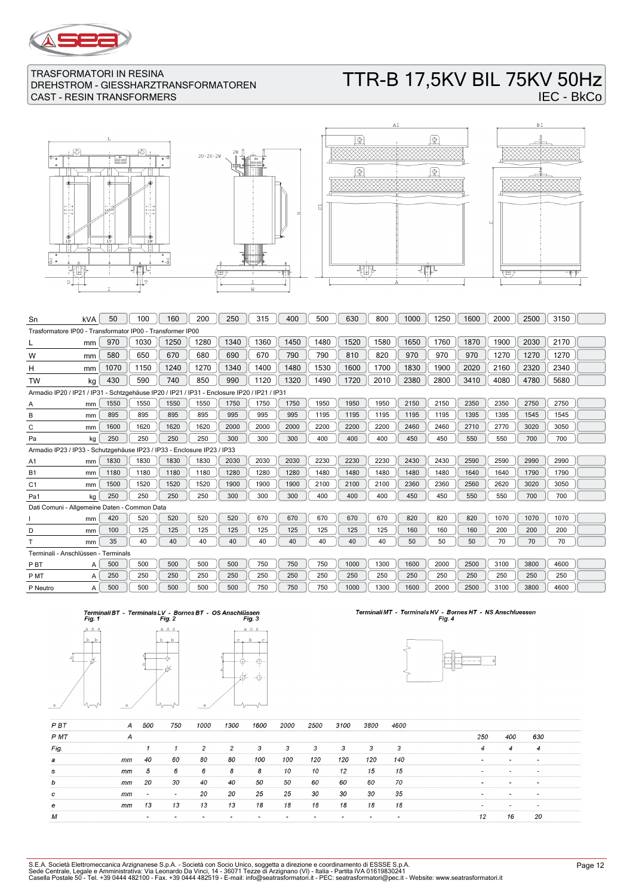

# TTR-B 17,5KV BIL 75KV 50Hz IEC - BkCo









| Sn                                                                                          | kVA | 50   | 100  | 160  | 200  | 250  | 315  | 400  | 500  | 630  | 800  | 1000 | 1250 | 1600 | 2000 | 2500 | 3150 |  |
|---------------------------------------------------------------------------------------------|-----|------|------|------|------|------|------|------|------|------|------|------|------|------|------|------|------|--|
| Trasformatore IP00 - Transformator IP00 - Transformer IP00                                  |     |      |      |      |      |      |      |      |      |      |      |      |      |      |      |      |      |  |
|                                                                                             | mm  | 970  | 1030 | 1250 | 1280 | 1340 | 1360 | 1450 | 1480 | 1520 | 1580 | 1650 | 1760 | 1870 | 1900 | 2030 | 2170 |  |
| W                                                                                           | mm  | 580  | 650  | 670  | 680  | 690  | 670  | 790  | 790  | 810  | 820  | 970  | 970  | 970  | 1270 | 1270 | 1270 |  |
| H                                                                                           | mm  | 1070 | 1150 | 1240 | 1270 | 1340 | 1400 | 1480 | 1530 | 1600 | 1700 | 1830 | 1900 | 2020 | 2160 | 2320 | 2340 |  |
| <b>TW</b>                                                                                   | kg  | 430  | 590  | 740  | 850  | 990  | 1120 | 1320 | 1490 | 1720 | 2010 | 2380 | 2800 | 3410 | 4080 | 4780 | 5680 |  |
| Armadio IP20 / IP21 / IP31 - Schtzgehäuse IP20 / IP21 / IP31 - Enclosure IP20 / IP21 / IP31 |     |      |      |      |      |      |      |      |      |      |      |      |      |      |      |      |      |  |
| A                                                                                           | mm  | 1550 | 1550 | 1550 | 1550 | 1750 | 1750 | 1750 | 1950 | 1950 | 1950 | 2150 | 2150 | 2350 | 2350 | 2750 | 2750 |  |
| в                                                                                           | mm  | 895  | 895  | 895  | 895  | 995  | 995  | 995  | 1195 | 1195 | 1195 | 1195 | 1195 | 1395 | 1395 | 1545 | 1545 |  |
| C                                                                                           | mm  | 1600 | 1620 | 1620 | 1620 | 2000 | 2000 | 2000 | 2200 | 2200 | 2200 | 2460 | 2460 | 2710 | 2770 | 3020 | 3050 |  |
| Pa                                                                                          | kg  | 250  | 250  | 250  | 250  | 300  | 300  | 300  | 400  | 400  | 400  | 450  | 450  | 550  | 550  | 700  | 700  |  |
| Armadio IP23 / IP33 - Schutzgehäuse IP23 / IP33 - Enclosure IP23 / IP33                     |     |      |      |      |      |      |      |      |      |      |      |      |      |      |      |      |      |  |
| A1                                                                                          | mm  | 1830 | 1830 | 1830 | 1830 | 2030 | 2030 | 2030 | 2230 | 2230 | 2230 | 2430 | 2430 | 2590 | 2590 | 2990 | 2990 |  |
| <b>B1</b>                                                                                   | mm  | 1180 | 1180 | 1180 | 1180 | 1280 | 1280 | 1280 | 1480 | 1480 | 1480 | 1480 | 1480 | 1640 | 1640 | 1790 | 1790 |  |
| C <sub>1</sub>                                                                              | mm  | 1500 | 1520 | 1520 | 1520 | 1900 | 1900 | 1900 | 2100 | 2100 | 2100 | 2360 | 2360 | 2560 | 2620 | 3020 | 3050 |  |
| Pa1                                                                                         | kq  | 250  | 250  | 250  | 250  | 300  | 300  | 300  | 400  | 400  | 400  | 450  | 450  | 550  | 550  | 700  | 700  |  |
| Dati Comuni - Allgemeine Daten - Common Data                                                |     |      |      |      |      |      |      |      |      |      |      |      |      |      |      |      |      |  |
|                                                                                             | mm  | 420  | 520  | 520  | 520  | 520  | 670  | 670  | 670  | 670  | 670  | 820  | 820  | 820  | 1070 | 1070 | 1070 |  |
| D                                                                                           | mm  | 100  | 125  | 125  | 125  | 125  | 125  | 125  | 125  | 125  | 125  | 160  | 160  | 160  | 200  | 200  | 200  |  |
|                                                                                             | mm  | 35   | 40   | 40   | 40   | 40   | 40   | 40   | 40   | 40   | 40   | 50   | 50   | 50   | 70   | 70   | 70   |  |
| Terminali - Anschlüssen - Terminals                                                         |     |      |      |      |      |      |      |      |      |      |      |      |      |      |      |      |      |  |
| P <sub>B</sub> T                                                                            | A   | 500  | 500  | 500  | 500  | 500  | 750  | 750  | 750  | 1000 | 1300 | 1600 | 2000 | 2500 | 3100 | 3800 | 4600 |  |
| P MT                                                                                        | A   | 250  | 250  | 250  | 250  | 250  | 250  | 250  | 250  | 250  | 250  | 250  | 250  | 250  | 250  | 250  | 250  |  |
| P Neutro                                                                                    | A   | 500  | 500  | 500  | 500  | 500  | 750  | 750  | 750  | 1000 | 1300 | 1600 | 2000 | 2500 | 3100 | 3800 | 4600 |  |





# Terminali MT - Terminals HV - Bornes HT - NS Anschluessen<br>Fig. 4



| <b>PBT</b> | A  | 500                      | 750                      | 1000 | 1300 | 1600 | 2000 | 2500 | 3100 | 3800 | 4600 |                          |                          |                          |
|------------|----|--------------------------|--------------------------|------|------|------|------|------|------|------|------|--------------------------|--------------------------|--------------------------|
| P MT       | A  |                          |                          |      |      |      |      |      |      |      |      | 250                      | 400                      | 630                      |
| Fig.       |    |                          |                          | 2    | 2    | 3    | 3    | 3    | 3    | 3    | 3    | 4                        | $\overline{4}$           | 4                        |
| а          | mm | 40                       | 60                       | 80   | 80   | 100  | 100  | 120  | 120  | 120  | 140  |                          | $\overline{\phantom{a}}$ | $\overline{\phantom{a}}$ |
| s          | mm | 5                        | 6                        | 6    | 8    | 8    | 10   | 10   | 12   | 15   | 15   | $\overline{\phantom{a}}$ | $\overline{\phantom{0}}$ | $\overline{\phantom{0}}$ |
| b          | mm | 20                       | 30                       | 40   | 40   | 50   | 50   | 60   | 60   | 60   | 70   | $\overline{\phantom{a}}$ | $\overline{\phantom{a}}$ | $\sim$                   |
| c          | mm | $\overline{\phantom{0}}$ | $\overline{\phantom{a}}$ | 20   | 20   | 25   | 25   | 30   | 30   | 30   | 35   | $\overline{\phantom{0}}$ | $\overline{\phantom{0}}$ | $\overline{\phantom{0}}$ |
| e          | mm | 13                       | 13                       | 13   | 13   | 18   | 18   | 18   | 18   | 18   | 18   |                          |                          | $\overline{\phantom{a}}$ |
| M          |    | $\overline{\phantom{a}}$ |                          |      |      |      |      |      |      |      |      | 12                       | 16                       | 20                       |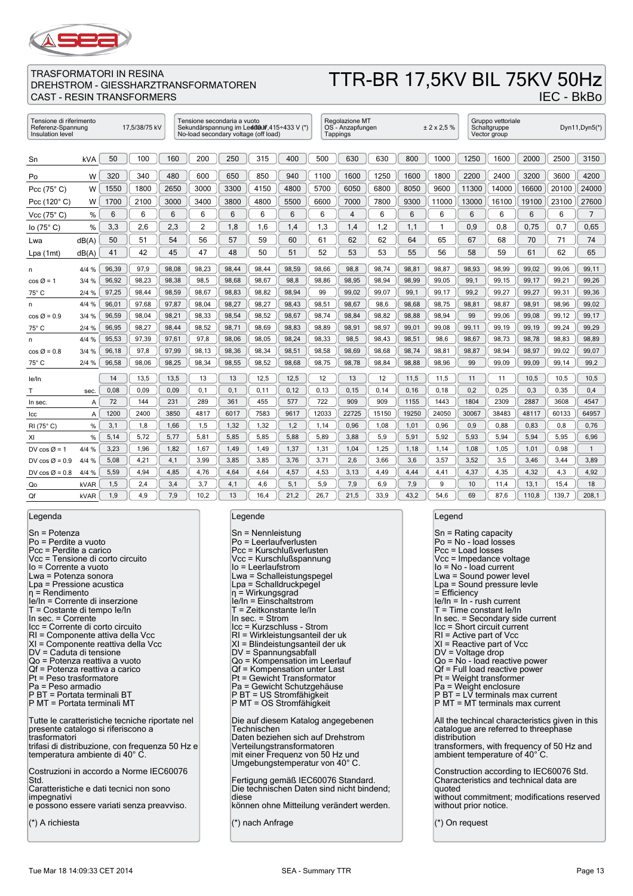

TRASFORMATORI IN RESINA

### DREHSTROM - GIESSHARZTRANSFORMATOREN CAST - RESIN TRANSFORMERS TTR-BR 17,5KV BIL 75KV 50Hz

| Tensione di riferimento<br>17,5/38/75 kV<br>Referenz-Spannung<br>Insulation level |       |       | Tensione secondaria a vuoto<br>No-load secondary voltage (off load) |       |                | Sekundärspannung im Led080f,415÷433 V (*) |       | Regolazione MT<br>OS - Anzapfungen<br>Tappings |       |       | ± 2 x 2.5 % |       | Gruppo vettoriale<br>Schaltgruppe<br>Vector group |       |       | Dyn11, Dyn5(*) |       |                |
|-----------------------------------------------------------------------------------|-------|-------|---------------------------------------------------------------------|-------|----------------|-------------------------------------------|-------|------------------------------------------------|-------|-------|-------------|-------|---------------------------------------------------|-------|-------|----------------|-------|----------------|
| Sn                                                                                | kVA   | 50    | 100                                                                 | 160   | 200            | 250                                       | 315   | 400                                            | 500   | 630   | 630         | 800   | 1000                                              | 1250  | 1600  | 2000           | 2500  | 3150           |
| Po                                                                                | W     | 320   | 340                                                                 | 480   | 600            | 650                                       | 850   | 940                                            | 1100  | 1600  | 1250        | 1600  | 1800                                              | 2200  | 2400  | 3200           | 3600  | 4200           |
| Pcc (75°C)                                                                        | W     | 1550  | 1800                                                                | 2650  | 3000           | 3300                                      | 4150  | 4800                                           | 5700  | 6050  | 6800        | 8050  | 9600                                              | 11300 | 14000 | 16600          | 20100 | 24000          |
| Pcc $(120^\circ C)$                                                               | W     | 1700  | 2100                                                                | 3000  | 3400           | 3800                                      | 4800  | 5500                                           | 6600  | 7000  | 7800        | 9300  | 11000                                             | 13000 | 16100 | 19100          | 23100 | 27600          |
| Vcc $(75^{\circ} C)$                                                              | %     | 6     | 6                                                                   | 6     | 6              | 6                                         | 6     | 6                                              | 6     | 4     | 6           | 6     | 6                                                 | 6     | 6     | 6              | 6     | $\overline{7}$ |
| lo(75° C)                                                                         | %     | 3,3   | 2,6                                                                 | 2,3   | $\overline{c}$ | 1,8                                       | 1,6   | 1,4                                            | 1,3   | 1,4   | 1,2         | 1,1   | 1                                                 | 0.9   | 0,8   | 0,75           | 0,7   | 0,65           |
| Lwa                                                                               | dB(A) | 50    | 51                                                                  | 54    | 56             | 57                                        | 59    | 60                                             | 61    | 62    | 62          | 64    | 65                                                | 67    | 68    | 70             | 71    | 74             |
| Lpa(1mt)                                                                          | dB(A) | 41    | 42                                                                  | 45    | 47             | 48                                        | 50    | 51                                             | 52    | 53    | 53          | 55    | 56                                                | 58    | 59    | 61             | 62    | 65             |
| n                                                                                 | 4/4 % | 96,39 | 97,9                                                                | 98,08 | 98,23          | 98,44                                     | 98,44 | 98,59                                          | 98,66 | 98,8  | 98,74       | 98,81 | 98,87                                             | 98,93 | 98,99 | 99,02          | 99,06 | 99,11          |
| cos Ø = 1                                                                         | 3/4%  | 96,92 | 98,23                                                               | 98,38 | 98,5           | 98,68                                     | 98,67 | 98,8                                           | 98,86 | 98,95 | 98,94       | 98,99 | 99,05                                             | 99,1  | 99,15 | 99,17          | 99,21 | 99,26          |
| 75° C                                                                             | 2/4%  | 97,25 | 98,44                                                               | 98,59 | 98,67          | 98,83                                     | 98,82 | 98,94                                          | 99    | 99,02 | 99,07       | 99,1  | 99,17                                             | 99,2  | 99,27 | 99,27          | 99,31 | 99,36          |
| n                                                                                 | 4/4 % | 96,01 | 97,68                                                               | 97,87 | 98,04          | 98,27                                     | 98,27 | 98,43                                          | 98,51 | 98,67 | 98,6        | 98,68 | 98,75                                             | 98,81 | 98,87 | 98,91          | 98,96 | 99,02          |
| $\cos \varnothing = 0.9$                                                          | 3/4%  | 96,59 | 98,04                                                               | 98,21 | 98,33          | 98,54                                     | 98,52 | 98,67                                          | 98,74 | 98,84 | 98,82       | 98,88 | 98,94                                             | 99    | 99,06 | 99,08          | 99,12 | 99,17          |
| 75° C                                                                             | 2/4 % | 96,95 | 98,27                                                               | 98,44 | 98,52          | 98,71                                     | 98,69 | 98,83                                          | 98,89 | 98,91 | 98,97       | 99,01 | 99,08                                             | 99,11 | 99,19 | 99,19          | 99,24 | 99,29          |
| n                                                                                 | 4/4 % | 95,53 | 97,39                                                               | 97,61 | 97,8           | 98,06                                     | 98,05 | 98,24                                          | 98,33 | 98,5  | 98,43       | 98,51 | 98,6                                              | 98,67 | 98,73 | 98,78          | 98,83 | 98,89          |
| $\cos \varnothing = 0.8$                                                          | 3/4%  | 96,18 | 97,8                                                                | 97,99 | 98,13          | 98,36                                     | 98,34 | 98,51                                          | 98,58 | 98,69 | 98,68       | 98,74 | 98,81                                             | 98,87 | 98,94 | 98,97          | 99,02 | 99,07          |
| 75° C                                                                             | 2/4%  | 96,58 | 98,06                                                               | 98,25 | 98,34          | 98,55                                     | 98,52 | 98,68                                          | 98,75 | 98,78 | 98,84       | 98,88 | 98,96                                             | 99    | 99,09 | 99,09          | 99,14 | 99,2           |
| le/In                                                                             |       | 14    | 13,5                                                                | 13,5  | 13             | 13                                        | 12,5  | 12,5                                           | 12    | 13    | 12          | 11,5  | 11,5                                              | 11    | 11    | 10,5           | 10,5  | 10,5           |
| т                                                                                 | sec.  | 0.08  | 0,09                                                                | 0,09  | 0.1            | 0.1                                       | 0, 11 | 0,12                                           | 0, 13 | 0, 15 | 0.14        | 0, 16 | 0,18                                              | 0,2   | 0,25  | 0,3            | 0,35  | 0.4            |
| In sec.                                                                           | A     | 72    | 144                                                                 | 231   | 289            | 361                                       | 455   | 577                                            | 722   | 909   | 909         | 1155  | 1443                                              | 1804  | 2309  | 2887           | 3608  | 4547           |
| Icc                                                                               | A     | 1200  | 2400                                                                | 3850  | 4817           | 6017                                      | 7583  | 9617                                           | 12033 | 22725 | 15150       | 19250 | 24050                                             | 30067 | 38483 | 48117          | 60133 | 64957          |
| RI (75°C)                                                                         | %     | 3,1   | 1,8                                                                 | 1,66  | 1,5            | 1,32                                      | 1,32  | 1,2                                            | 1,14  | 0,96  | 1,08        | 1,01  | 0,96                                              | 0,9   | 0,88  | 0,83           | 0,8   | 0,76           |
| XI                                                                                | %     | 5,14  | 5,72                                                                | 5,77  | 5,81           | 5,85                                      | 5,85  | 5,88                                           | 5,89  | 3,88  | 5,9         | 5,91  | 5,92                                              | 5,93  | 5,94  | 5,94           | 5,95  | 6,96           |
| DV cos $\varnothing$ = 1                                                          | 4/4 % | 3,23  | 1,96                                                                | 1,82  | 1,67           | 1,49                                      | 1,49  | 1,37                                           | 1,31  | 1,04  | 1,25        | 1,18  | 1,14                                              | 1,08  | 1,05  | 1,01           | 0,98  | $\mathbf{1}$   |
| DV $\cos \varnothing = 0.9$                                                       | 4/4 % | 5,08  | 4,21                                                                | 4,1   | 3,99           | 3,85                                      | 3,85  | 3,76                                           | 3,71  | 2,6   | 3,66        | 3,6   | 3,57                                              | 3,52  | 3,5   | 3,46           | 3,44  | 3.89           |
| DV cos $\varnothing$ = 0.8                                                        | 4/4 % | 5,59  | 4,94                                                                | 4,85  | 4,76           | 4,64                                      | 4,64  | 4,57                                           | 4,53  | 3,13  | 4,49        | 4,44  | 4,41                                              | 4,37  | 4,35  | 4,32           | 4,3   | 4,92           |
| Qo                                                                                | kVAR  | 1,5   | 2,4                                                                 | 3,4   | 3,7            | 4,1                                       | 4,6   | 5,1                                            | 5,9   | 7,9   | 6,9         | 7,9   | 9                                                 | 10    | 11,4  | 13,1           | 15,4  | 18             |
| Qf                                                                                | kVAR  | 1,9   | 4,9                                                                 | 7,9   | 10,2           | 13                                        | 16,4  | 21,2                                           | 26,7  | 21,5  | 33,9        | 43,2  | 54,6                                              | 69    | 87,6  | 110,8          | 139,7 | 208,1          |

Legenda

Sn = Potenza Po = Perdite a vuoto Pcc = Perdite a carico Vcc = Tensione di corto circuito Io = Corrente a vuoto Lwa = Potenza sonora Lpa = Pressione acustica η = Rendimento Ie/In = Corrente di inserzione T = Costante di tempo Ie/In In sec. = Corrente Icc = Corrente di corto circuito RI = Componente attiva della Vcc XI = Componente reattiva della Vcc DV = Caduta di tensione Qo = Potenza reattiva a vuoto Qf = Potenza reattiva a carico Pt = Peso trasformatore Pa = Peso armadio P BT = Portata terminali BT P MT = Portata terminali MT Tutte le caratteristiche tecniche riportate nel presente catalogo si riferiscono a trasformatori trifasi di distribuzione, con frequenza 50 Hz e temperatura ambiente di 40° C. Costruzioni in accordo a Norme IEC60076 Std. Caratteristiche e dati tecnici non sono impegnativi e possono essere variati senza preavviso. (\*) A richiesta

#### Legende

| $Sn = Nennleistung$<br>Po = Leerlaufverlusten<br>Pcc = Kurschlußverlusten<br>Vcc = Kurschlußspannung<br>lo = Leerlaufstrom<br>Lwa = Schalleistungspegel<br>Lpa = Schalldruckpegel<br>$\eta$ = Wirkungsgrad<br>le/In = Einschaltstrom<br>T = Zeitkonstante le/In<br>In sec. $=$ Strom<br>Icc = Kurzschluss - Strom<br>RI = Wirkleistungsanteil der uk<br>XI = Blindeistungsanteil der uk<br>$DV =$ Spannungsabfall<br>Qo = Kompensation im Leerlauf<br>Qf = Kompensation unter Last<br>Pt = Gewicht Transformator<br>Pa = Gewicht Schutzgehäuse<br>P BT = US Stromfähigkeit<br>P MT = OS Stromfähigkeit |
|--------------------------------------------------------------------------------------------------------------------------------------------------------------------------------------------------------------------------------------------------------------------------------------------------------------------------------------------------------------------------------------------------------------------------------------------------------------------------------------------------------------------------------------------------------------------------------------------------------|
| Die auf diesem Katalog angegebenen<br>Technischen<br>Daten beziehen sich auf Drehstrom<br>Verteilungstransformatoren<br>mit einer Frequenz von 50 Hz und<br>Umgebungstemperatur von 40°C.                                                                                                                                                                                                                                                                                                                                                                                                              |
| Fertigung gemäß IEC60076 Standard.<br>Die technischen Daten sind nicht bindend;<br>diese<br>können ohne Mitteilung verändert werden.                                                                                                                                                                                                                                                                                                                                                                                                                                                                   |

(\*) nach Anfrage

#### Legend

Sn = Rating capacity Po = No - load losses Pcc = Load losses Vcc = Impedance voltage Io = No - load current Lwa = Sound power level Lpa = Sound pressure levle  $=$  Efficiency Ie/In = In - rush current T = Time constant Ie/In In sec. = Secondary side current Icc = Short circuit current RI = Active part of Vcc XI = Reactive part of Vcc DV = Voltage drop Qo = No - load reactive power  $Qf = Full load reactive power$ Pt = Weight transformer Pa = Weight enclosure P BT = LV terminals max current P MT = MT terminals max current All the techincal characteristics given in this catalogue are referred to threephase distribution transformers, with frequency of 50 Hz and ambient temperature of 40°C. Construction according to IEC60076 Std. Characteristics and technical data are quoted without commitment; modifications reserved without prior notice. (\*) On request

IEC - BkBo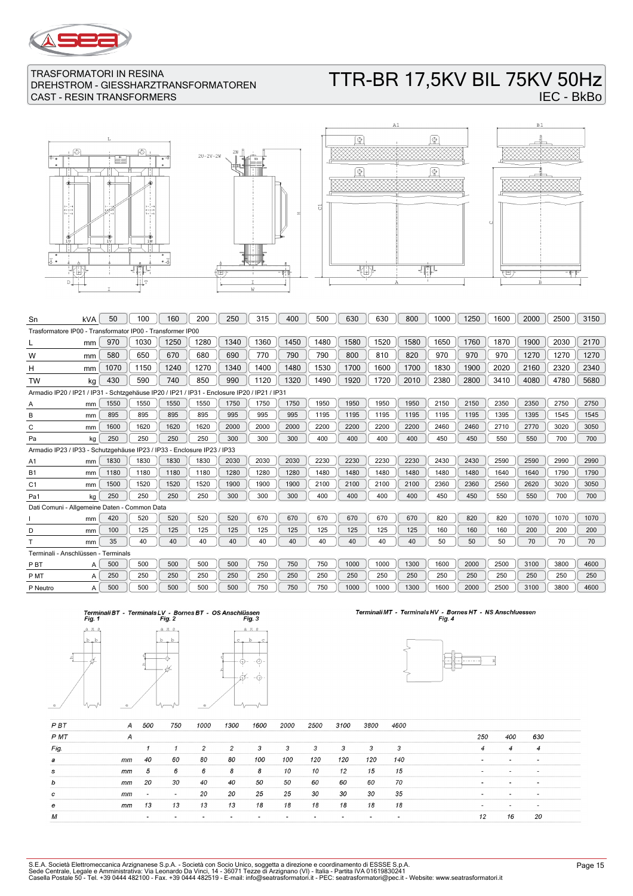

# TTR-BR 17,5KV BIL 75KV 50Hz IEC - BkBo







| kVA                                                                                         | 50   | 100  | 160                                 | 200                                          | 250                                                        | 315  | 400  | 500  | 630  | 630  | 800  | 1000 | 1250 | 1600 | 2000 | 2500 | 3150 |
|---------------------------------------------------------------------------------------------|------|------|-------------------------------------|----------------------------------------------|------------------------------------------------------------|------|------|------|------|------|------|------|------|------|------|------|------|
|                                                                                             |      |      |                                     |                                              |                                                            |      |      |      |      |      |      |      |      |      |      |      |      |
| mm                                                                                          | 970  | 1030 | 1250                                | 1280                                         | 1340                                                       | 1360 | 1450 | 1480 | 1580 | 1520 | 1580 | 1650 | 1760 | 1870 | 1900 | 2030 | 2170 |
| mm                                                                                          | 580  | 650  | 670                                 | 680                                          | 690                                                        | 770  | 790  | 790  | 800  | 810  | 820  | 970  | 970  | 970  | 1270 | 1270 | 1270 |
| mm                                                                                          | 1070 | 1150 | 1240                                | 1270                                         | 1340                                                       | 1400 | 1480 | 1530 | 1700 | 1600 | 1700 | 1830 | 1900 | 2020 | 2160 | 2320 | 2340 |
| kg                                                                                          | 430  | 590  | 740                                 | 850                                          | 990                                                        | 1120 | 1320 | 1490 | 1920 | 1720 | 2010 | 2380 | 2800 | 3410 | 4080 | 4780 | 5680 |
| Armadio IP20 / IP21 / IP31 - Schtzgehäuse IP20 / IP21 / IP31 - Enclosure IP20 / IP21 / IP31 |      |      |                                     |                                              |                                                            |      |      |      |      |      |      |      |      |      |      |      |      |
| mm                                                                                          | 1550 | 1550 | 1550                                | 1550                                         | 1750                                                       | 1750 | 1750 | 1950 | 1950 | 1950 | 1950 | 2150 | 2150 | 2350 | 2350 | 2750 | 2750 |
| mm                                                                                          | 895  | 895  | 895                                 | 895                                          | 995                                                        | 995  | 995  | 1195 | 1195 | 1195 | 1195 | 1195 | 1195 | 1395 | 1395 | 1545 | 1545 |
| mm                                                                                          | 1600 | 1620 | 1620                                | 1620                                         | 2000                                                       | 2000 | 2000 | 2200 | 2200 | 2200 | 2200 | 2460 | 2460 | 2710 | 2770 | 3020 | 3050 |
| kg                                                                                          | 250  | 250  | 250                                 | 250                                          | 300                                                        | 300  | 300  | 400  | 400  | 400  | 400  | 450  | 450  | 550  | 550  | 700  | 700  |
| Armadio IP23 / IP33 - Schutzgehäuse IP23 / IP33 - Enclosure IP23 / IP33                     |      |      |                                     |                                              |                                                            |      |      |      |      |      |      |      |      |      |      |      |      |
| mm                                                                                          | 1830 | 1830 | 1830                                | 1830                                         | 2030                                                       | 2030 | 2030 | 2230 | 2230 | 2230 | 2230 | 2430 | 2430 | 2590 | 2590 | 2990 | 2990 |
| mm                                                                                          | 1180 | 1180 | 1180                                | 1180                                         | 1280                                                       | 1280 | 1280 | 1480 | 1480 | 1480 | 1480 | 1480 | 1480 | 1640 | 1640 | 1790 | 1790 |
| mm                                                                                          | 1500 | 1520 | 1520                                | 1520                                         | 1900                                                       | 1900 | 1900 | 2100 | 2100 | 2100 | 2100 | 2360 | 2360 | 2560 | 2620 | 3020 | 3050 |
| kg                                                                                          | 250  | 250  | 250                                 | 250                                          | 300                                                        | 300  | 300  | 400  | 400  | 400  | 400  | 450  | 450  | 550  | 550  | 700  | 700  |
|                                                                                             |      |      |                                     |                                              |                                                            |      |      |      |      |      |      |      |      |      |      |      |      |
| mm                                                                                          | 420  | 520  | 520                                 | 520                                          | 520                                                        | 670  | 670  | 670  | 670  | 670  | 670  | 820  | 820  | 820  | 1070 | 1070 | 1070 |
| mm                                                                                          | 100  | 125  | 125                                 | 125                                          | 125                                                        | 125  | 125  | 125  | 125  | 125  | 125  | 160  | 160  | 160  | 200  | 200  | 200  |
| mm                                                                                          | 35   | 40   | 40                                  | 40                                           | 40                                                         | 40   | 40   | 40   | 40   | 40   | 40   | 50   | 50   | 50   | 70   | 70   | 70   |
|                                                                                             |      |      |                                     |                                              |                                                            |      |      |      |      |      |      |      |      |      |      |      |      |
| A                                                                                           | 500  | 500  | 500                                 | 500                                          | 500                                                        | 750  | 750  | 750  | 1000 | 1000 | 1300 | 1600 | 2000 | 2500 | 3100 | 3800 | 4600 |
| A                                                                                           | 250  | 250  | 250                                 | 250                                          | 250                                                        | 250  | 250  | 250  | 250  | 250  | 250  | 250  | 250  | 250  | 250  | 250  | 250  |
| A                                                                                           | 500  | 500  | 500                                 | 500                                          | 500                                                        | 750  | 750  | 750  | 1000 | 1000 | 1300 | 1600 | 2000 | 2500 | 3100 | 3800 | 4600 |
|                                                                                             |      |      | Terminali - Anschlüssen - Terminals | Dati Comuni - Allgemeine Daten - Common Data | Trasformatore IP00 - Transformator IP00 - Transformer IP00 |      |      |      |      |      |      |      |      |      |      |      |      |





# Terminali MT - Terminals HV - Bornes HT - NS Anschluessen<br>Fig. 4



| P BT | A  | 500                      | 750                      | 1000 | 1300 | 1600 | 2000 | 2500 | 3100 | 3800 | 4600 |                |                          |                          |  |
|------|----|--------------------------|--------------------------|------|------|------|------|------|------|------|------|----------------|--------------------------|--------------------------|--|
| P MT | A  |                          |                          |      |      |      |      |      |      |      |      | 250            | 400                      | 630                      |  |
| Fig. |    |                          |                          | 2    | 2    | 3    | 3    | 3    | 3    | 3    | 3    | $\overline{4}$ | $\overline{4}$           | 4                        |  |
| а    | mm | 40                       | 60                       | 80   | 80   | 100  | 100  | 120  | 120  | 120  | 140  |                | $\overline{\phantom{a}}$ |                          |  |
| s    | mm | 5                        | 6                        | 6    | 8    | 8    | 10   | 10   | 12   | 15   | 15   | . .            | $\overline{\phantom{0}}$ | $\overline{\phantom{a}}$ |  |
| b    | mm | 20                       | 30                       | 40   | 40   | 50   | 50   | 60   | 60   | 60   | 70   | . .            | <b>COL</b>               | $\sim$                   |  |
| c    | mm | $\overline{\phantom{a}}$ | $\overline{\phantom{a}}$ | 20   | 20   | 25   | 25   | 30   | 30   | 30   | 35   | . .            |                          | $\overline{\phantom{0}}$ |  |
| е    | mm | 13                       | 13                       | 13   | 13   | 18   | 18   | 18   | 18   | 18   | 18   |                |                          |                          |  |
| M    |    |                          |                          |      |      |      |      |      |      |      |      | 12             | 16                       | 20                       |  |

 $\overline{\mathbb{F}}$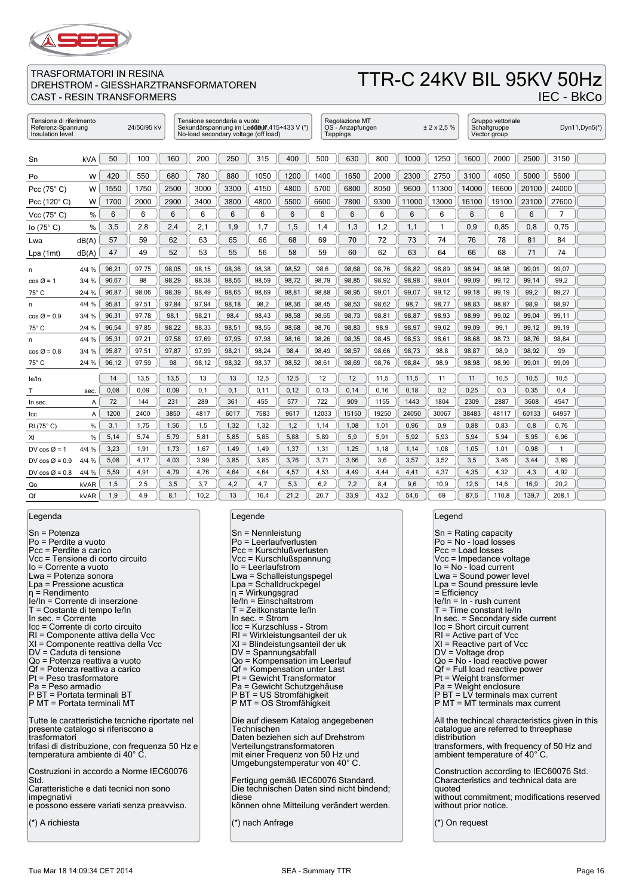

# TTR-C 24KV BIL 95KV 50Hz IEC - BkCo

| Tensione di riferimento<br>24/50/95 kV<br>Referenz-Spannung<br>Insulation level |            |       |       | Tensione secondaria a vuoto<br>No-load secondary voltage (off load) |       |       | Sekundärspannung im Led080f, 415÷433 V (*) |       | Regolazione MT<br>OS - Anzapfungen<br>Tappings |       |       | ± 2 × 2.5 % |       | Gruppo vettoriale<br>Schaltgruppe<br>Vector group |       |       | Dyn $11,$ Dyn $5(*)$ |  |
|---------------------------------------------------------------------------------|------------|-------|-------|---------------------------------------------------------------------|-------|-------|--------------------------------------------|-------|------------------------------------------------|-------|-------|-------------|-------|---------------------------------------------------|-------|-------|----------------------|--|
| Sn                                                                              | <b>kVA</b> | 50    | 100   | 160                                                                 | 200   | 250   | 315                                        | 400   | 500                                            | 630   | 800   | 1000        | 1250  | 1600                                              | 2000  | 2500  | 3150                 |  |
| Po                                                                              | W          | 420   | 550   | 680                                                                 | 780   | 880   | 1050                                       | 1200  | 1400                                           | 1650  | 2000  | 2300        | 2750  | 3100                                              | 4050  | 5000  | 5600                 |  |
| Pcc $(75^\circ C)$                                                              | W          | 1550  | 1750  | 2500                                                                | 3000  | 3300  | 4150                                       | 4800  | 5700                                           | 6800  | 8050  | 9600        | 11300 | 14000                                             | 16600 | 20100 | 24000                |  |
| Pcc (120°C)                                                                     | W          | 1700  | 2000  | 2900                                                                | 3400  | 3800  | 4800                                       | 5500  | 6600                                           | 7800  | 9300  | 11000       | 13000 | 16100                                             | 19100 | 23100 | 27600                |  |
| Vcc $(75^{\circ} C)$                                                            | %          | 6     | 6     | 6                                                                   | 6     | 6     | 6                                          | 6     | 6                                              | 6     | 6     | 6           | 6     | 6                                                 | 6     | 6     | $\overline{7}$       |  |
| lo $(75^{\circ} C)$                                                             | %          | 3,5   | 2,8   | 2,4                                                                 | 2,1   | 1,9   | 1,7                                        | 1,5   | 1,4                                            | 1,3   | 1,2   | 1,1         | 1     | 0,9                                               | 0,85  | 0,8   | 0,75                 |  |
| Lwa                                                                             | dB(A)      | 57    | 59    | 62                                                                  | 63    | 65    | 66                                         | 68    | 69                                             | 70    | 72    | 73          | 74    | 76                                                | 78    | 81    | 84                   |  |
| Lpa (1mt)                                                                       | dB(A)      | 47    | 49    | 52                                                                  | 53    | 55    | 56                                         | 58    | 59                                             | 60    | 62    | 63          | 64    | 66                                                | 68    | 71    | 74                   |  |
| n                                                                               | 4/4 %      | 96,21 | 97,75 | 98,05                                                               | 98,15 | 98,36 | 98,38                                      | 98,52 | 98,6                                           | 98,68 | 98,76 | 98,82       | 98.89 | 98,94                                             | 98,98 | 99,01 | 99,07                |  |
| $\cos \varnothing = 1$                                                          | 3/4%       | 96,67 | 98    | 98,29                                                               | 98,38 | 98,56 | 98,59                                      | 98,72 | 98,79                                          | 98,85 | 98,92 | 98,98       | 99,04 | 99,09                                             | 99,12 | 99,14 | 99,2                 |  |
| $75^{\circ}$ C                                                                  | 2/4 %      | 96,87 | 98,06 | 98,39                                                               | 98,49 | 98,65 | 98,69                                      | 98,81 | 98,88                                          | 98,95 | 99,01 | 99,07       | 99,12 | 99,18                                             | 99,19 | 99,2  | 99,27                |  |
| n                                                                               | 4/4 %      | 95,81 | 97,51 | 97,84                                                               | 97,94 | 98,18 | 98,2                                       | 98,36 | 98,45                                          | 98,53 | 98,62 | 98,7        | 98,77 | 98,83                                             | 98,87 | 98,9  | 98,97                |  |
| $\cos \varnothing = 0.9$                                                        | 3/4 %      | 96,31 | 97,78 | 98,1                                                                | 98,21 | 98,4  | 98,43                                      | 98,58 | 98,65                                          | 98,73 | 98,81 | 98,87       | 98,93 | 98,99                                             | 99,02 | 99,04 | 99,11                |  |
| 75° C                                                                           | 2/4 %      | 96,54 | 97,85 | 98,22                                                               | 98,33 | 98,51 | 98.55                                      | 98,68 | 98,76                                          | 98,83 | 98,9  | 98,97       | 99,02 | 99.09                                             | 99,1  | 99,12 | 99,19                |  |
| n                                                                               | 4/4 %      | 95,31 | 97,21 | 97,58                                                               | 97,69 | 97,95 | 97,98                                      | 98,16 | 98,26                                          | 98,35 | 98,45 | 98.53       | 98,61 | 98,68                                             | 98,73 | 98,76 | 98,84                |  |
| $\cos \varnothing = 0.8$                                                        | 3/4%       | 95,87 | 97,51 | 97,87                                                               | 97,99 | 98,21 | 98,24                                      | 98,4  | 98,49                                          | 98,57 | 98,66 | 98,73       | 98,8  | 98,87                                             | 98,9  | 98,92 | 99                   |  |
| $75^{\circ}$ C                                                                  | 2/4%       | 96,12 | 97,59 | 98                                                                  | 98,12 | 98,32 | 98,37                                      | 98,52 | 98,61                                          | 98,69 | 98,76 | 98,84       | 98,9  | 98,98                                             | 98,99 | 99,01 | 99,09                |  |
| le/ln                                                                           |            | 14    | 13,5  | 13,5                                                                | 13    | 13    | 12,5                                       | 12,5  | 12                                             | 12    | 11,5  | 11,5        | 11    | 11                                                | 10,5  | 10,5  | 10,5                 |  |
| т                                                                               | sec.       | 0,08  | 0,09  | 0.09                                                                | 0.1   | 0.1   | 0,11                                       | 0,12  | 0, 13                                          | 0,14  | 0, 16 | 0, 18       | 0,2   | 0,25                                              | 0,3   | 0,35  | 0,4                  |  |
| In sec.                                                                         | Α          | 72    | 144   | 231                                                                 | 289   | 361   | 455                                        | 577   | 722                                            | 909   | 1155  | 1443        | 1804  | 2309                                              | 2887  | 3608  | 4547                 |  |
| Icc                                                                             | A          | 1200  | 2400  | 3850                                                                | 4817  | 6017  | 7583                                       | 9617  | 12033                                          | 15150 | 19250 | 24050       | 30067 | 38483                                             | 48117 | 60133 | 64957                |  |
| RI (75° C)                                                                      | $\%$       | 3,1   | 1,75  | 1,56                                                                | 1,5   | 1,32  | 1,32                                       | 1,2   | 1,14                                           | 1,08  | 1,01  | 0,96        | 0,9   | 0.88                                              | 0,83  | 0,8   | 0,76                 |  |
| XI                                                                              | %          | 5,14  | 5,74  | 5,79                                                                | 5,81  | 5,85  | 5,85                                       | 5,88  | 5,89                                           | 5,9   | 5,91  | 5,92        | 5,93  | 5,94                                              | 5,94  | 5,95  | 6,96                 |  |
| DV cos $\varnothing$ = 1                                                        | 4/4 %      | 3,23  | 1,91  | 1,73                                                                | 1,67  | 1,49  | 1,49                                       | 1,37  | 1,31                                           | 1,25  | 1,18  | 1,14        | 1,08  | 1,05                                              | 1,01  | 0,98  | $\mathbf{1}$         |  |
| DV cos $\varnothing$ = 0.9                                                      | 4/4 %      | 5,08  | 4,17  | 4,03                                                                | 3,99  | 3,85  | 3,85                                       | 3,76  | 3,71                                           | 3,66  | 3,6   | 3,57        | 3,52  | 3,5                                               | 3,46  | 3,44  | 3,89                 |  |
| DV cos $\varnothing$ = 0.8                                                      | 4/4 %      | 5,59  | 4,91  | 4,79                                                                | 4,76  | 4,64  | 4,64                                       | 4,57  | 4,53                                           | 4,49  | 4,44  | 4,41        | 4,37  | 4,35                                              | 4,32  | 4,3   | 4,92                 |  |
| Qo                                                                              | kVAR       | 1,5   | 2,5   | 3,5                                                                 | 3,7   | 4,2   | 4,7                                        | 5,3   | 6,2                                            | 7,2   | 8,4   | 9,6         | 10,9  | 12,6                                              | 14,6  | 16,9  | 20,2                 |  |
| Qf                                                                              | kVAR       | 1,9   | 4.9   | 8.1                                                                 | 10,2  | 13    | 16.4                                       | 21.2  | 26.7                                           | 33.9  | 43.2  | 54.6        | 69    | 87,6                                              | 110.8 | 139,7 | 208.1                |  |

Legenda

Sn = Potenza Po = Perdite a vuoto Pcc = Perdite a carico Vcc = Tensione di corto circuito Io = Corrente a vuoto Lwa = Potenza sonora Lpa = Pressione acustica η = Rendimento Ie/In = Corrente di inserzione T = Costante di tempo Ie/In In sec. = Corrente Icc = Corrente di corto circuito RI = Componente attiva della Vcc XI = Componente reattiva della Vcc DV = Caduta di tensione Qo = Potenza reattiva a vuoto Qf = Potenza reattiva a carico Pt = Peso trasformatore Pa = Peso armadio P BT = Portata terminali BT P MT = Portata terminali MT Tutte le caratteristiche tecniche riportate nel presente catalogo si riferiscono a trasformatori trifasi di distribuzione, con frequenza 50 Hz e temperatura ambiente di 40° C. Costruzioni in accordo a Norme IEC60076 Std. Caratteristiche e dati tecnici non sono impegnativi e possono essere variati senza preavviso. (\*) A richiesta

#### Legende

| Sn = Nennleistung<br>Po = Leerlaufverlusten<br>Pcc = Kurschlußverlusten<br>Vcc = Kurschlußspannung<br>lo = Leerlaufstrom<br>Lwa = Schalleistungspegel<br>Lpa = Schalldruckpegel<br>$\eta$ = Wirkungsgrad<br>le/In = Einschaltstrom<br>T = Zeitkonstante le/In<br>In sec. $=$ Strom<br>Icc = Kurzschluss - Strom<br>RI = Wirkleistungsanteil der uk<br>XI = Blindeistungsanteil der uk<br>DV = Spannungsabfall<br>Qo = Kompensation im Leerlauf<br>Qf = Kompensation unter Last<br>Pt = Gewicht Transformator<br>Pa = Gewicht Schutzgehäuse<br>P BT = US Stromfähigkeit<br>P MT = OS Stromfähigkeit |
|----------------------------------------------------------------------------------------------------------------------------------------------------------------------------------------------------------------------------------------------------------------------------------------------------------------------------------------------------------------------------------------------------------------------------------------------------------------------------------------------------------------------------------------------------------------------------------------------------|
| Die auf diesem Katalog angegebenen<br>Technischen<br>Daten beziehen sich auf Drehstrom<br>Verteilungstransformatoren<br>mit einer Frequenz von 50 Hz und<br>Umgebungstemperatur von 40°C.                                                                                                                                                                                                                                                                                                                                                                                                          |
| Fertigung gemäß IEC60076 Standard.<br>Die technischen Daten sind nicht bindend;<br>diese<br>können ohne Mitteilung verändert werden.                                                                                                                                                                                                                                                                                                                                                                                                                                                               |

(\*) nach Anfrage

#### Legend

| Sn = Rating capacity<br>Po = No - load losses<br>$Pcc =$ Load losses<br>Vcc = Impedance voltage<br>lo = No - load current<br>Lwa = Sound power level<br>Lpa = Sound pressure levle<br>$=$ Efficiency<br>$ e/ n =  n - r$ rush current<br>T = Time constant le/In<br>In sec. = Secondary side current<br>Icc = Short circuit current<br>$RI =$ Active part of Vcc<br>XI = Reactive part of Vcc<br>DV = Voltage drop<br>Qo = No - load reactive power<br>Qf = Full load reactive power<br>Pt = Weight transformer<br>Pa = Weight enclosure<br>P BT = LV terminals max current<br>P MT = MT terminals max current |
|----------------------------------------------------------------------------------------------------------------------------------------------------------------------------------------------------------------------------------------------------------------------------------------------------------------------------------------------------------------------------------------------------------------------------------------------------------------------------------------------------------------------------------------------------------------------------------------------------------------|
| All the techincal characteristics given in this<br>catalogue are referred to threephase<br>distribution<br>transformers, with frequency of 50 Hz and<br>ambient temperature of 40°C.                                                                                                                                                                                                                                                                                                                                                                                                                           |
| Construction according to IEC60076 Std.<br>Characteristics and technical data are<br>quoted<br>without commitment; modifications reserved<br>without prior notice.                                                                                                                                                                                                                                                                                                                                                                                                                                             |
| $(4)$ $\sim$                                                                                                                                                                                                                                                                                                                                                                                                                                                                                                                                                                                                   |

(\*) On request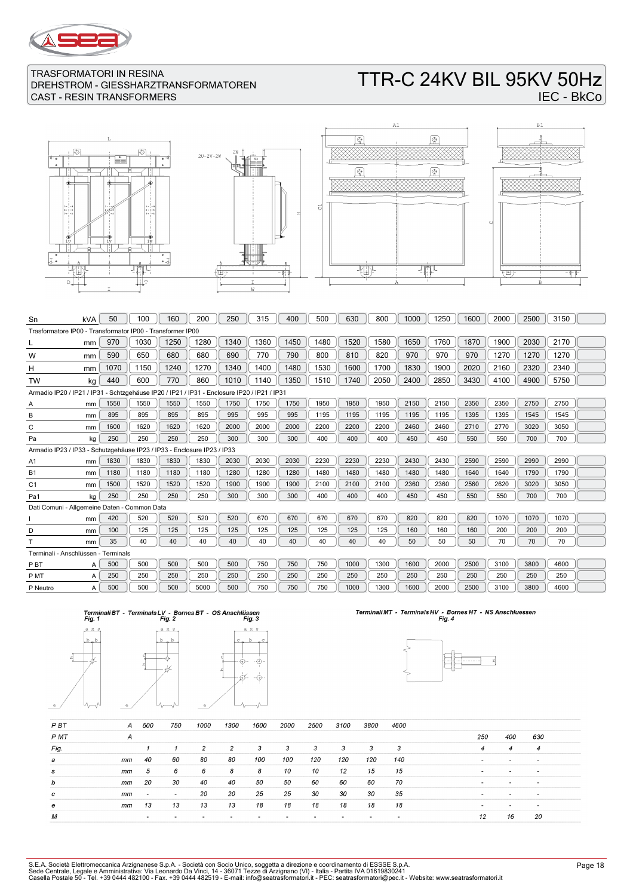

# TTR-C 24KV BIL 95KV 50Hz IEC - BkCo









| Sn                                                                                          | kVA | 50   | 100  | 160  | 200  | 250  | 315  | 400  | 500  | 630  | 800  | 1000 | 1250 | 1600 | 2000 | 2500 | 3150 |  |
|---------------------------------------------------------------------------------------------|-----|------|------|------|------|------|------|------|------|------|------|------|------|------|------|------|------|--|
| Trasformatore IP00 - Transformator IP00 - Transformer IP00                                  |     |      |      |      |      |      |      |      |      |      |      |      |      |      |      |      |      |  |
|                                                                                             | mm  | 970  | 1030 | 1250 | 1280 | 1340 | 1360 | 1450 | 1480 | 1520 | 1580 | 1650 | 1760 | 1870 | 1900 | 2030 | 2170 |  |
| w                                                                                           | mm  | 590  | 650  | 680  | 680  | 690  | 770  | 790  | 800  | 810  | 820  | 970  | 970  | 970  | 1270 | 1270 | 1270 |  |
| н                                                                                           | mm  | 1070 | 1150 | 1240 | 1270 | 1340 | 1400 | 1480 | 1530 | 1600 | 1700 | 1830 | 1900 | 2020 | 2160 | 2320 | 2340 |  |
| <b>TW</b>                                                                                   | kg  | 440  | 600  | 770  | 860  | 1010 | 1140 | 1350 | 1510 | 1740 | 2050 | 2400 | 2850 | 3430 | 4100 | 4900 | 5750 |  |
| Armadio IP20 / IP21 / IP31 - Schtzgehäuse IP20 / IP21 / IP31 - Enclosure IP20 / IP21 / IP31 |     |      |      |      |      |      |      |      |      |      |      |      |      |      |      |      |      |  |
| А                                                                                           | mm  | 1550 | 1550 | 1550 | 1550 | 1750 | 1750 | 1750 | 1950 | 1950 | 1950 | 2150 | 2150 | 2350 | 2350 | 2750 | 2750 |  |
| B                                                                                           | mm  | 895  | 895  | 895  | 895  | 995  | 995  | 995  | 1195 | 1195 | 1195 | 1195 | 1195 | 1395 | 1395 | 1545 | 1545 |  |
| C                                                                                           | mm  | 1600 | 1620 | 1620 | 1620 | 2000 | 2000 | 2000 | 2200 | 2200 | 2200 | 2460 | 2460 | 2710 | 2770 | 3020 | 3050 |  |
| Pa                                                                                          | kg  | 250  | 250  | 250  | 250  | 300  | 300  | 300  | 400  | 400  | 400  | 450  | 450  | 550  | 550  | 700  | 700  |  |
| Armadio IP23 / IP33 - Schutzgehäuse IP23 / IP33 - Enclosure IP23 / IP33                     |     |      |      |      |      |      |      |      |      |      |      |      |      |      |      |      |      |  |
| A1                                                                                          | mm  | 1830 | 1830 | 1830 | 1830 | 2030 | 2030 | 2030 | 2230 | 2230 | 2230 | 2430 | 2430 | 2590 | 2590 | 2990 | 2990 |  |
| <b>B1</b>                                                                                   | mm  | 1180 | 1180 | 1180 | 1180 | 1280 | 1280 | 1280 | 1480 | 1480 | 1480 | 1480 | 1480 | 1640 | 1640 | 1790 | 1790 |  |
| C1                                                                                          | mm  | 1500 | 1520 | 1520 | 1520 | 1900 | 1900 | 1900 | 2100 | 2100 | 2100 | 2360 | 2360 | 2560 | 2620 | 3020 | 3050 |  |
| Pa1                                                                                         | kg  | 250  | 250  | 250  | 250  | 300  | 300  | 300  | 400  | 400  | 400  | 450  | 450  | 550  | 550  | 700  | 700  |  |
| Dati Comuni - Allgemeine Daten - Common Data                                                |     |      |      |      |      |      |      |      |      |      |      |      |      |      |      |      |      |  |
|                                                                                             | mm  | 420  | 520  | 520  | 520  | 520  | 670  | 670  | 670  | 670  | 670  | 820  | 820  | 820  | 1070 | 1070 | 1070 |  |
| D                                                                                           | mm  | 100  | 125  | 125  | 125  | 125  | 125  | 125  | 125  | 125  | 125  | 160  | 160  | 160  | 200  | 200  | 200  |  |
|                                                                                             | mm  | 35   | 40   | 40   | 40   | 40   | 40   | 40   | 40   | 40   | 40   | 50   | 50   | 50   | 70   | 70   | 70   |  |
| Terminali - Anschlüssen - Terminals                                                         |     |      |      |      |      |      |      |      |      |      |      |      |      |      |      |      |      |  |
| P <sub>B</sub> T                                                                            | A   | 500  | 500  | 500  | 500  | 500  | 750  | 750  | 750  | 1000 | 1300 | 1600 | 2000 | 2500 | 3100 | 3800 | 4600 |  |
| P MT                                                                                        | A   | 250  | 250  | 250  | 250  | 250  | 250  | 250  | 250  | 250  | 250  | 250  | 250  | 250  | 250  | 250  | 250  |  |
| P Neutro                                                                                    | A   | 500  | 500  | 500  | 5000 | 500  | 750  | 750  | 750  | 1000 | 1300 | 1600 | 2000 | 2500 | 3100 | 3800 | 4600 |  |





# Terminali MT - Terminals HV - Bornes HT - NS Anschluessen<br>Fig. 4



| PBT  | A  | 500                      | 750                      | 1000 | 1300 | 1600                     | 2000                     | 2500 | 3100 | 3800 | 4600 |                          |                          |                          |
|------|----|--------------------------|--------------------------|------|------|--------------------------|--------------------------|------|------|------|------|--------------------------|--------------------------|--------------------------|
| P MT | A  |                          |                          |      |      |                          |                          |      |      |      |      | 250                      | 400                      | 630                      |
| Fig. |    |                          |                          | 2    | 2    | 3                        | 3                        | 3    | 3    | 3    | 3    | 4                        | $\boldsymbol{4}$         | $\overline{4}$           |
| а    | mm | 40                       | 60                       | 80   | 80   | 100                      | 100                      | 120  | 120  | 120  | 140  | $\sim$                   | $\overline{\phantom{a}}$ | $\overline{\phantom{a}}$ |
| s    | mm | 5                        | 6                        | 6    | 8    | 8                        | 10                       | 10   | 12   | 15   | 15   | $\overline{\phantom{0}}$ | $\overline{\phantom{0}}$ | $\overline{\phantom{a}}$ |
| b    | mm | 20                       | 30                       | 40   | 40   | 50                       | 50                       | 60   | 60   | 60   | 70   |                          | $\overline{\phantom{a}}$ | $\overline{\phantom{a}}$ |
| c    | mm | $\overline{\phantom{0}}$ | $\overline{\phantom{a}}$ | 20   | 20   | 25                       | 25                       | 30   | 30   | 30   | 35   | $\overline{\phantom{a}}$ | $\overline{\phantom{0}}$ | $\,$                     |
| e    | mm | 13                       | 13                       | 13   | 13   | 18                       | 18                       | 18   | 18   | 18   | 18   |                          |                          |                          |
| M    |    | $\overline{\phantom{a}}$ |                          |      |      | $\overline{\phantom{a}}$ | $\overline{\phantom{a}}$ |      |      |      |      | 12                       | 16                       | 20                       |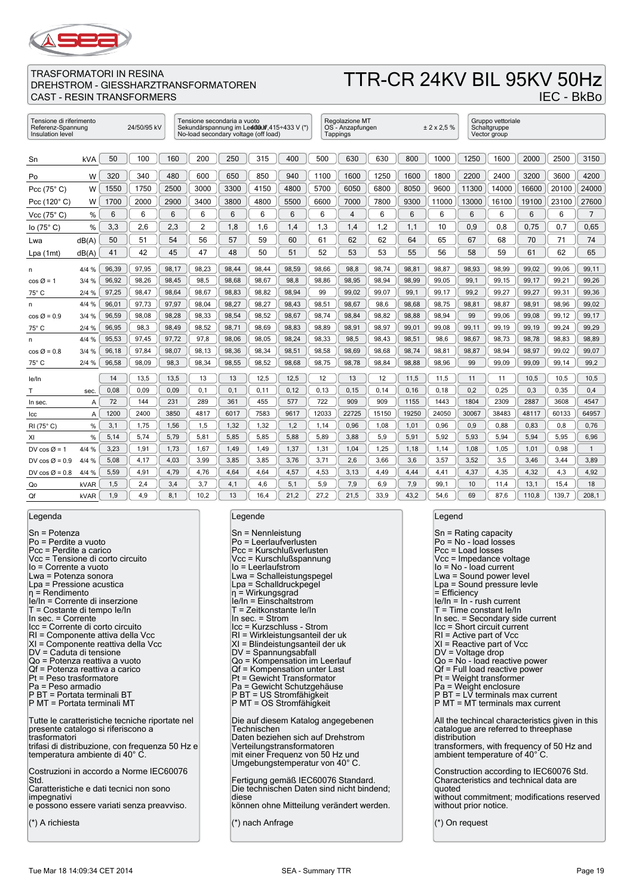

# TTR-CR 24KV BIL 95KV 50Hz

IEC - BkBo

| Tensione di riferimento<br>24/50/95 kV<br>Referenz-Spannung<br>Insulation level |            |       |       |       | Tensione secondaria a vuoto<br>No-load secondary voltage (off load) |       |       | Sekundärspannung im Led000 (415÷433 V (*) |       | Regolazione MT<br>OS - Anzapfungen<br>Tappings |       |       | ± 2 x 2.5 % |       | Gruppo vettoriale<br>Schaltgruppe<br>Vector group |       |       |                |
|---------------------------------------------------------------------------------|------------|-------|-------|-------|---------------------------------------------------------------------|-------|-------|-------------------------------------------|-------|------------------------------------------------|-------|-------|-------------|-------|---------------------------------------------------|-------|-------|----------------|
| Sn                                                                              | <b>kVA</b> | 50    | 100   | 160   | 200                                                                 | 250   | 315   | 400                                       | 500   | 630                                            | 630   | 800   | 1000        | 1250  | 1600                                              | 2000  | 2500  | 3150           |
| Po                                                                              | W          | 320   | 340   | 480   | 600                                                                 | 650   | 850   | 940                                       | 1100  | 1600                                           | 1250  | 1600  | 1800        | 2200  | 2400                                              | 3200  | 3600  | 4200           |
| Pcc $(75^{\circ} C)$                                                            | W          | 1550  | 1750  | 2500  | 3000                                                                | 3300  | 4150  | 4800                                      | 5700  | 6050                                           | 6800  | 8050  | 9600        | 11300 | 14000                                             | 16600 | 20100 | 24000          |
| Pcc (120° C)                                                                    | W          | 1700  | 2000  | 2900  | 3400                                                                | 3800  | 4800  | 5500                                      | 6600  | 7000                                           | 7800  | 9300  | 11000       | 13000 | 16100                                             | 19100 | 23100 | 27600          |
| Vcc (75° C)                                                                     | %          | 6     | 6     | 6     | 6                                                                   | 6     | 6     | 6                                         | 6     | 4                                              | 6     | 6     | 6           | 6     | 6                                                 | 6     | 6     | $\overline{7}$ |
| lo $(75^{\circ} C)$                                                             | %          | 3,3   | 2,6   | 2,3   | 2                                                                   | 1.8   | 1,6   | 1,4                                       | 1,3   | 1,4                                            | 1,2   | 1,1   | 10          | 0,9   | 0,8                                               | 0.75  | 0.7   | 0.65           |
| Lwa                                                                             | dB(A)      | 50    | 51    | 54    | 56                                                                  | 57    | 59    | 60                                        | 61    | 62                                             | 62    | 64    | 65          | 67    | 68                                                | 70    | 71    | 74             |
| Lpa(1mt)                                                                        | dB(A)      | 41    | 42    | 45    | 47                                                                  | 48    | 50    | 51                                        | 52    | 53                                             | 53    | 55    | 56          | 58    | 59                                                | 61    | 62    | 65             |
| n                                                                               | 4/4%       | 96,39 | 97,95 | 98,17 | 98,23                                                               | 98,44 | 98,44 | 98,59                                     | 98,66 | 98,8                                           | 98,74 | 98,81 | 98,87       | 98,93 | 98,99                                             | 99,02 | 99,06 | 99,11          |
| $\cos \varnothing = 1$                                                          | 3/4%       | 96,92 | 98,26 | 98,45 | 98,5                                                                | 98,68 | 98,67 | 98,8                                      | 98,86 | 98,95                                          | 98,94 | 98,99 | 99,05       | 99,1  | 99,15                                             | 99,17 | 99,21 | 99,26          |
| $75^\circ$ C                                                                    | 2/4%       | 97,25 | 98,47 | 98,64 | 98,67                                                               | 98,83 | 98,82 | 98,94                                     | 99    | 99,02                                          | 99,07 | 99,1  | 99,17       | 99,2  | 99,27                                             | 99,27 | 99,31 | 99,36          |
| n                                                                               | 4/4%       | 96,01 | 97,73 | 97,97 | 98,04                                                               | 98,27 | 98,27 | 98,43                                     | 98,51 | 98,67                                          | 98,6  | 98,68 | 98,75       | 98,81 | 98,87                                             | 98,91 | 98,96 | 99,02          |
| $\cos \varnothing = 0.9$                                                        | 3/4%       | 96,59 | 98,08 | 98,28 | 98,33                                                               | 98,54 | 98,52 | 98,67                                     | 98,74 | 98,84                                          | 98,82 | 98,88 | 98,94       | 99    | 99,06                                             | 99,08 | 99,12 | 99,17          |
| $75^{\circ}$ C                                                                  | 2/4%       | 96,95 | 98,3  | 98,49 | 98,52                                                               | 98,71 | 98.69 | 98,83                                     | 98,89 | 98,91                                          | 98,97 | 99,01 | 99,08       | 99,11 | 99,19                                             | 99,19 | 99,24 | 99,29          |
| n                                                                               | 4/4%       | 95,53 | 97,45 | 97,72 | 97,8                                                                | 98,06 | 98,05 | 98,24                                     | 98,33 | 98,5                                           | 98,43 | 98,51 | 98,6        | 98,67 | 98,73                                             | 98,78 | 98,83 | 98,89          |
| $\cos \varnothing = 0.8$                                                        | 3/4%       | 96,18 | 97.84 | 98.07 | 98.13                                                               | 98.36 | 98.34 | 98,51                                     | 98,58 | 98,69                                          | 98.68 | 98.74 | 98,81       | 98.87 | 98,94                                             | 98.97 | 99.02 | 99.07          |
| $75^\circ$ C                                                                    | 2/4%       | 96,58 | 98,09 | 98,3  | 98,34                                                               | 98,55 | 98,52 | 98,68                                     | 98,75 | 98,78                                          | 98,84 | 98,88 | 98,96       | 99    | 99,09                                             | 99,09 | 99,14 | 99,2           |
| le/In                                                                           |            | 14    | 13,5  | 13,5  | 13                                                                  | 13    | 12,5  | 12,5                                      | 12    | 13                                             | 12    | 11,5  | 11,5        | 11    | 11                                                | 10,5  | 10,5  | 10,5           |
| т                                                                               | sec.       | 0,08  | 0,09  | 0,09  | 0,1                                                                 | 0,1   | 0, 11 | 0, 12                                     | 0, 13 | 0, 15                                          | 0,14  | 0, 16 | 0,18        | 0,2   | 0,25                                              | 0,3   | 0,35  | 0,4            |
| In sec.                                                                         | A          | 72    | 144   | 231   | 289                                                                 | 361   | 455   | 577                                       | 722   | 909                                            | 909   | 1155  | 1443        | 1804  | 2309                                              | 2887  | 3608  | 4547           |
| Icc                                                                             | Α          | 1200  | 2400  | 3850  | 4817                                                                | 6017  | 7583  | 9617                                      | 12033 | 22725                                          | 15150 | 19250 | 24050       | 30067 | 38483                                             | 48117 | 60133 | 64957          |
| $RI(75^{\circ} C)$                                                              | %          | 3,1   | 1,75  | 1,56  | 1,5                                                                 | 1,32  | 1,32  | 1,2                                       | 1,14  | 0,96                                           | 1,08  | 1,01  | 0,96        | 0,9   | 0,88                                              | 0.83  | 0,8   | 0,76           |
| XI                                                                              | %          | 5,14  | 5,74  | 5,79  | 5,81                                                                | 5,85  | 5,85  | 5,88                                      | 5,89  | 3,88                                           | 5,9   | 5,91  | 5,92        | 5,93  | 5,94                                              | 5.94  | 5,95  | 6,96           |
| DV cos $\varnothing$ = 1                                                        | 4/4 %      | 3.23  | 1,91  | 1,73  | 1,67                                                                | 1,49  | 1,49  | 1,37                                      | 1,31  | 1,04                                           | 1,25  | 1,18  | 1,14        | 1,08  | 1,05                                              | 1.01  | 0.98  | $\mathbf{1}$   |
| DV cos $\varnothing$ = 0.9                                                      | 4/4%       | 5,08  | 4,17  | 4,03  | 3,99                                                                | 3,85  | 3,85  | 3,76                                      | 3,71  | 2,6                                            | 3,66  | 3,6   | 3,57        | 3,52  | 3,5                                               | 3,46  | 3,44  | 3,89           |
| DV cos $\varnothing$ = 0.8                                                      | 4/4 %      | 5,59  | 4,91  | 4,79  | 4,76                                                                | 4,64  | 4,64  | 4,57                                      | 4,53  | 3,13                                           | 4,49  | 4,44  | 4,41        | 4,37  | 4,35                                              | 4,32  | 4,3   | 4,92           |
| Qo                                                                              | kVAR       | 1,5   | 2,4   | 3,4   | 3,7                                                                 | 4,1   | 4,6   | 5,1                                       | 5,9   | 7,9                                            | 6,9   | 7,9   | 99,1        | 10    | 11,4                                              | 13,1  | 15,4  | 18             |
| Qf                                                                              | kVAR       | 1,9   | 4.9   | 8.1   | 10.2                                                                | 13    | 16.4  | 21.2                                      | 27.2  | 21.5                                           | 33.9  | 43.2  | 54.6        | 69    | 87.6                                              | 110.8 | 139.7 | 208.1          |

### Legenda

Sn = Potenza Po = Perdite a vuoto Pcc = Perdite a carico Vcc = Tensione di corto circuito Io = Corrente a vuoto Lwa = Potenza sonora Lpa = Pressione acustica η = Rendimento Ie/In = Corrente di inserzione T = Costante di tempo Ie/In In sec. = Corrente Icc = Corrente di corto circuito RI = Componente attiva della Vcc XI = Componente reattiva della Vcc DV = Caduta di tensione Qo = Potenza reattiva a vuoto Qf = Potenza reattiva a carico Pt = Peso trasformatore Pa = Peso armadio P BT = Portata terminali BT P MT = Portata terminali MT Tutte le caratteristiche tecniche riportate nel presente catalogo si riferiscono a trasformatori trifasi di distribuzione, con frequenza 50 Hz e temperatura ambiente di 40° C. Costruzioni in accordo a Norme IEC60076 Std. Caratteristiche e dati tecnici non sono impegnativi e possono essere variati senza preavviso. (\*) A richiesta

#### Legende

| Sn = Nennleistung<br>Po = Leerlaufverlusten<br>Pcc = Kurschlußverlusten<br>Vcc = Kurschlußspannung<br>lo = Leerlaufstrom<br>Lwa = Schalleistungspegel<br>Lpa = Schalldruckpegel<br>η = Wirkungsgrad<br>le/In = Einschaltstrom<br>T = Zeitkonstante le/In<br>In sec. $=$ Strom<br>Icc = Kurzschluss - Strom<br>RI = Wirkleistungsanteil der uk<br>XI = Blindeistungsanteil der uk<br>DV = Spannungsabfall<br>Qo = Kompensation im Leerlauf<br>Qf = Kompensation unter Last<br>Pt = Gewicht Transformator<br>Pa = Gewicht Schutzgehäuse<br>P BT = US Stromfähigkeit<br>P MT = OS Stromfähigkeit |
|-----------------------------------------------------------------------------------------------------------------------------------------------------------------------------------------------------------------------------------------------------------------------------------------------------------------------------------------------------------------------------------------------------------------------------------------------------------------------------------------------------------------------------------------------------------------------------------------------|
| Die auf diesem Katalog angegebenen<br>Technischen<br>Daten beziehen sich auf Drehstrom<br>Verteilungstransformatoren<br>mit einer Frequenz von 50 Hz und<br>Umgebungstemperatur von 40°C.                                                                                                                                                                                                                                                                                                                                                                                                     |
| Fertigung gemäß IEC60076 Standard.<br>Die technischen Daten sind nicht bindend;<br>diese<br>können ohne Mitteilung verändert werden.                                                                                                                                                                                                                                                                                                                                                                                                                                                          |

(\*) nach Anfrage

#### Legend

| Sn = Rating capacity<br>Po = No - load losses<br>Pcc = Load losses<br>Vcc = Impedance voltage                                                                                                      |
|----------------------------------------------------------------------------------------------------------------------------------------------------------------------------------------------------|
| lo = No - load current<br>Lwa = Sound power level<br>Lpa = Sound pressure levle<br>= Efficiency<br>$ e/ n =  n - r$ ush current                                                                    |
| T = Time constant le/In<br>In sec. = Secondary side current<br>Icc = Short circuit current<br>$RI =$ Active part of Vcc<br>XI = Reactive part of Vcc<br>DV = Voltage drop                          |
| Qo = No - load reactive power<br>Qf = Full load reactive power<br>Pt = Weight transformer<br>Pa = Weight enclosure<br>P BT = LV terminals max current<br>P MT = MT terminals max current           |
| All the techincal characteristics given in this<br>catalogue are referred to threephase<br>distribution<br>transformers, with frequency of 50 Hz and                                               |
| ambient temperature of 40°C.<br>Construction according to IEC60076 Std.<br>Characteristics and technical data are<br>quoted<br>without commitment; modifications reserved<br>without prior notice. |
| (*) On request                                                                                                                                                                                     |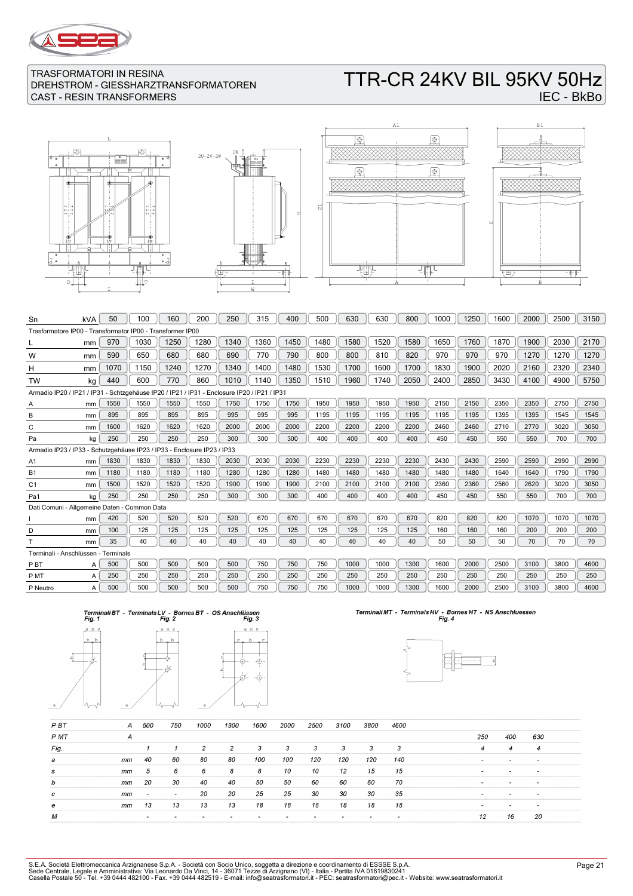

# TTR-CR 24KV BIL 95KV 50Hz IEC - BkBo

 $\overline{\mathbb{F}}$ 







| Sn                                                                                          | kVA | 50   | 100  | 160  | 200  | 250  | 315  | 400  | 500  | 630  | 630  | 800  | 1000 | 1250 | 1600 | 2000 | 2500 | 3150 |
|---------------------------------------------------------------------------------------------|-----|------|------|------|------|------|------|------|------|------|------|------|------|------|------|------|------|------|
| Trasformatore IP00 - Transformator IP00 - Transformer IP00                                  |     |      |      |      |      |      |      |      |      |      |      |      |      |      |      |      |      |      |
|                                                                                             | mm  | 970  | 1030 | 1250 | 1280 | 1340 | 1360 | 1450 | 1480 | 1580 | 1520 | 1580 | 1650 | 1760 | 1870 | 1900 | 2030 | 2170 |
| W                                                                                           | mm  | 590  | 650  | 680  | 680  | 690  | 770  | 790  | 800  | 800  | 810  | 820  | 970  | 970  | 970  | 1270 | 1270 | 1270 |
| н                                                                                           | mm  | 1070 | 1150 | 1240 | 1270 | 1340 | 1400 | 1480 | 1530 | 1700 | 1600 | 1700 | 1830 | 1900 | 2020 | 2160 | 2320 | 2340 |
| <b>TW</b>                                                                                   | kg  | 440  | 600  | 770  | 860  | 1010 | 1140 | 1350 | 1510 | 1960 | 1740 | 2050 | 2400 | 2850 | 3430 | 4100 | 4900 | 5750 |
| Armadio IP20 / IP21 / IP31 - Schtzgehäuse IP20 / IP21 / IP31 - Enclosure IP20 / IP21 / IP31 |     |      |      |      |      |      |      |      |      |      |      |      |      |      |      |      |      |      |
| Α                                                                                           | mm  | 1550 | 1550 | 1550 | 1550 | 1750 | 1750 | 1750 | 1950 | 1950 | 1950 | 1950 | 2150 | 2150 | 2350 | 2350 | 2750 | 2750 |
| B                                                                                           | mm  | 895  | 895  | 895  | 895  | 995  | 995  | 995  | 1195 | 1195 | 1195 | 1195 | 1195 | 1195 | 1395 | 1395 | 1545 | 1545 |
| C                                                                                           | mm  | 1600 | 1620 | 1620 | 1620 | 2000 | 2000 | 2000 | 2200 | 2200 | 2200 | 2200 | 2460 | 2460 | 2710 | 2770 | 3020 | 3050 |
| Pa                                                                                          | kg  | 250  | 250  | 250  | 250  | 300  | 300  | 300  | 400  | 400  | 400  | 400  | 450  | 450  | 550  | 550  | 700  | 700  |
| Armadio IP23 / IP33 - Schutzgehäuse IP23 / IP33 - Enclosure IP23 / IP33                     |     |      |      |      |      |      |      |      |      |      |      |      |      |      |      |      |      |      |
| A <sub>1</sub>                                                                              | mm  | 1830 | 1830 | 1830 | 1830 | 2030 | 2030 | 2030 | 2230 | 2230 | 2230 | 2230 | 2430 | 2430 | 2590 | 2590 | 2990 | 2990 |
| <b>B1</b>                                                                                   | mm  | 1180 | 1180 | 1180 | 1180 | 1280 | 1280 | 1280 | 1480 | 1480 | 1480 | 1480 | 1480 | 1480 | 1640 | 1640 | 1790 | 1790 |
| C <sub>1</sub>                                                                              | mm  | 1500 | 1520 | 1520 | 1520 | 1900 | 1900 | 1900 | 2100 | 2100 | 2100 | 2100 | 2360 | 2360 | 2560 | 2620 | 3020 | 3050 |
| Pa1                                                                                         | kg  | 250  | 250  | 250  | 250  | 300  | 300  | 300  | 400  | 400  | 400  | 400  | 450  | 450  | 550  | 550  | 700  | 700  |
| Dati Comuni - Allgemeine Daten - Common Data                                                |     |      |      |      |      |      |      |      |      |      |      |      |      |      |      |      |      |      |
|                                                                                             | mm  | 420  | 520  | 520  | 520  | 520  | 670  | 670  | 670  | 670  | 670  | 670  | 820  | 820  | 820  | 1070 | 1070 | 1070 |
| D                                                                                           | mm  | 100  | 125  | 125  | 125  | 125  | 125  | 125  | 125  | 125  | 125  | 125  | 160  | 160  | 160  | 200  | 200  | 200  |
|                                                                                             | mm  | 35   | 40   | 40   | 40   | 40   | 40   | 40   | 40   | 40   | 40   | 40   | 50   | 50   | 50   | 70   | 70   | 70   |
| Terminali - Anschlüssen - Terminals                                                         |     |      |      |      |      |      |      |      |      |      |      |      |      |      |      |      |      |      |
| P <sub>B</sub> T                                                                            | A   | 500  | 500  | 500  | 500  | 500  | 750  | 750  | 750  | 1000 | 1000 | 1300 | 1600 | 2000 | 2500 | 3100 | 3800 | 4600 |
| P MT                                                                                        | A   | 250  | 250  | 250  | 250  | 250  | 250  | 250  | 250  | 250  | 250  | 250  | 250  | 250  | 250  | 250  | 250  | 250  |
| P Neutro                                                                                    | A   | 500  | 500  | 500  | 500  | 500  | 750  | 750  | 750  | 1000 | 1000 | 1300 | 1600 | 2000 | 2500 | 3100 | 3800 | 4600 |
|                                                                                             |     |      |      |      |      |      |      |      |      |      |      |      |      |      |      |      |      |      |





# Terminali MT - Terminals HV - Bornes HT - NS Anschluessen<br>Fig. 4



| P <sub>B</sub> T | А  | 500                      | 750                      | 1000 | 1300 | 1600 | 2000 | 2500 | 3100 | 3800 | 4600 |                |                          |                          |  |
|------------------|----|--------------------------|--------------------------|------|------|------|------|------|------|------|------|----------------|--------------------------|--------------------------|--|
| P MT             | А  |                          |                          |      |      |      |      |      |      |      |      | 250            | 400                      | 630                      |  |
| Fig.             |    |                          |                          | 2    | 2    | 3    | 3    | 3    | 3    | з    | 3    | $\overline{4}$ | 4                        | $\overline{4}$           |  |
| а                | mm | 40                       | 60                       | 80   | 80   | 100  | 100  | 120  | 120  | 120  | 140  |                | $\overline{\phantom{a}}$ |                          |  |
| s                | mm | 5                        | 6                        | 6    | 8    | 8    | 10   | 10   | 12   | 15   | 15   | . .            | $\overline{\phantom{0}}$ | $\overline{\phantom{0}}$ |  |
| b                | mm | 20                       | 30                       | 40   | 40   | 50   | 50   | 60   | 60   | 60   | 70   |                | $\overline{\phantom{a}}$ | $\sim$                   |  |
| c                | mm | $\overline{\phantom{a}}$ | $\overline{\phantom{a}}$ | 20   | 20   | 25   | 25   | 30   | 30   | 30   | 35   | . .            | $\overline{\phantom{0}}$ | $\,$                     |  |
| е                | mm | 13                       | 13                       | 13   | 13   | 18   | 18   | 18   | 18   | 18   | 18   |                |                          |                          |  |
| М                |    |                          |                          |      |      |      |      |      |      |      |      | 12             | 16                       | 20                       |  |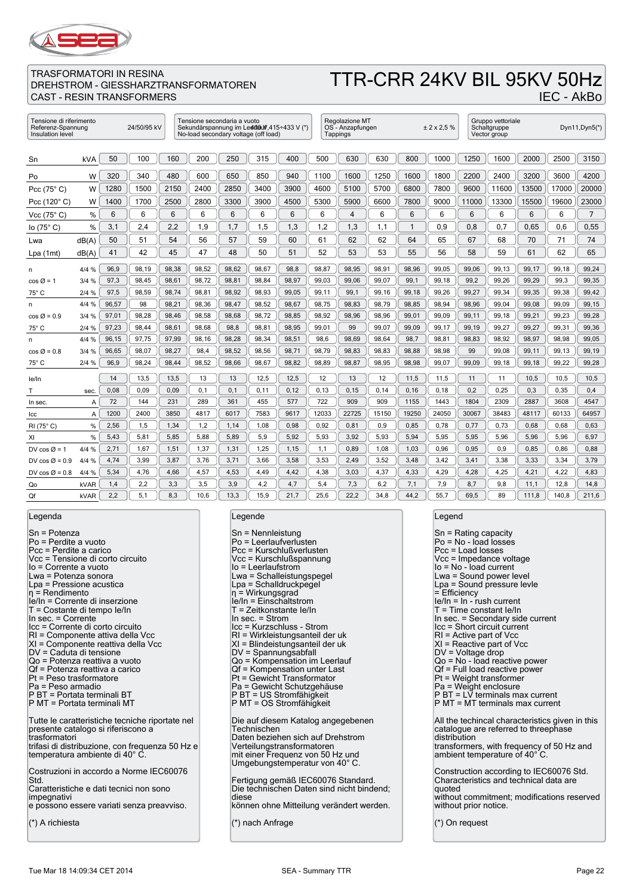

# TTR-CRR 24KV BIL 95KV 50Hz

IEC - AkBo

### TRASFORMATORI IN RESINA DREHSTROM - GIESSHARZTRANSFORMATOREN CAST - RESIN TRANSFORMERS

| Tensione di riferimento<br>24/50/95 kV<br>Referenz-Spannung<br>Insulation level |            |       |       | Tensione secondaria a vuoto<br>No-load secondary voltage (off load) |       | Sekundärspannung im Led080f, 415÷433 V (*) |       | Regolazione MT<br>OS - Anzapfungen<br>Tappings |       |       | ± 2 x 2.5 % |       | Gruppo vettoriale<br>Schaltgruppe<br>Vector group |       |       | Dyn11, Dyn5(*) |       |       |
|---------------------------------------------------------------------------------|------------|-------|-------|---------------------------------------------------------------------|-------|--------------------------------------------|-------|------------------------------------------------|-------|-------|-------------|-------|---------------------------------------------------|-------|-------|----------------|-------|-------|
| Sn                                                                              | <b>kVA</b> | 50    | 100   | 160                                                                 | 200   | 250                                        | 315   | 400                                            | 500   | 630   | 630         | 800   | 1000                                              | 1250  | 1600  | 2000           | 2500  | 3150  |
|                                                                                 |            |       |       |                                                                     |       |                                            |       |                                                |       |       |             |       |                                                   |       |       |                |       |       |
| Po                                                                              | W          | 320   | 340   | 480                                                                 | 600   | 650                                        | 850   | 940                                            | 1100  | 1600  | 1250        | 1600  | 1800                                              | 2200  | 2400  | 3200           | 3600  | 4200  |
| Pcc $(75^{\circ} C)$                                                            | W          | 1280  | 1500  | 2150                                                                | 2400  | 2850                                       | 3400  | 3900                                           | 4600  | 5100  | 5700        | 6800  | 7800                                              | 9600  | 11600 | 13500          | 17000 | 20000 |
| Pcc (120° C)                                                                    | W          | 1400  | 1700  | 2500                                                                | 2800  | 3300                                       | 3900  | 4500                                           | 5300  | 5900  | 6600        | 7800  | 9000                                              | 11000 | 13300 | 15500          | 19600 | 23000 |
| Vcc (75° C)                                                                     | %          | 6     | 6     | 6                                                                   | 6     | 6                                          | 6     | 6                                              | 6     | 4     | 6           | 6     | 6                                                 | 6     | 6     | 6              | 6     | 7     |
| lo $(75^{\circ} C)$                                                             | %          | 3.1   | 2,4   | 2,2                                                                 | 1,9   | 1.7                                        | 1,5   | 1,3                                            | 1,2   | 1,3   | 1,1         | 1     | 0.9                                               | 0.8   | 0.7   | 0.65           | 0.6   | 0,55  |
| Lwa                                                                             | dB(A)      | 50    | 51    | 54                                                                  | 56    | 57                                         | 59    | 60                                             | 61    | 62    | 62          | 64    | 65                                                | 67    | 68    | 70             | 71    | 74    |
| Lpa (1mt)                                                                       | dB(A)      | 41    | 42    | 45                                                                  | 47    | 48                                         | 50    | 51                                             | 52    | 53    | 53          | 55    | 56                                                | 58    | 59    | 61             | 62    | 65    |
| n                                                                               | 4/4 %      | 96,9  | 98,19 | 98,38                                                               | 98,52 | 98,62                                      | 98,67 | 98,8                                           | 98,87 | 98,95 | 98,91       | 98,96 | 99,05                                             | 99,06 | 99,13 | 99,17          | 99,18 | 99,24 |
| $\cos \varnothing = 1$                                                          | 3/4%       | 97,3  | 98,45 | 98,61                                                               | 98,72 | 98,81                                      | 98,84 | 98,97                                          | 99,03 | 99,06 | 99,07       | 99,1  | 99,18                                             | 99,2  | 99,26 | 99,29          | 99,3  | 99,35 |
| $75^\circ$ C                                                                    | 2/4%       | 97,5  | 98,59 | 98,74                                                               | 98,81 | 98,92                                      | 98,93 | 99,05                                          | 99,11 | 99,1  | 99,16       | 99,18 | 99,26                                             | 99,27 | 99,34 | 99,35          | 99,38 | 99,42 |
| n                                                                               | 4/4 %      | 96,57 | 98    | 98,21                                                               | 98,36 | 98,47                                      | 98,52 | 98,67                                          | 98,75 | 98,83 | 98,79       | 98,85 | 98,94                                             | 98,96 | 99,04 | 99,08          | 99,09 | 99,15 |
| $\cos \varnothing = 0.9$                                                        | 3/4%       | 97,01 | 98,28 | 98,46                                                               | 98,58 | 98,68                                      | 98,72 | 98,85                                          | 98,92 | 98,96 | 98,96       | 99,01 | 99,09                                             | 99,11 | 99,18 | 99,21          | 99,23 | 99,28 |
| 75° C                                                                           | 2/4 %      | 97,23 | 98,44 | 98,61                                                               | 98,68 | 98,8                                       | 98,81 | 98,95                                          | 99,01 | 99    | 99,07       | 99,09 | 99,17                                             | 99,19 | 99,27 | 99,27          | 99,31 | 99,36 |
| n                                                                               | 4/4 %      | 96,15 | 97,75 | 97,99                                                               | 98,16 | 98.28                                      | 98.34 | 98.51                                          | 98,6  | 98,69 | 98,64       | 98,7  | 98,81                                             | 98,83 | 98,92 | 98,97          | 98,98 | 99,05 |
| $\cos \varnothing = 0.8$                                                        | 3/4%       | 96,65 | 98,07 | 98,27                                                               | 98,4  | 98,52                                      | 98,56 | 98,71                                          | 98,79 | 98,83 | 98,83       | 98,88 | 98,98                                             | 99    | 99,08 | 99,11          | 99,13 | 99,19 |
| 75° C                                                                           | 2/4%       | 96,9  | 98,24 | 98,44                                                               | 98,52 | 98,66                                      | 98,67 | 98.82                                          | 98,89 | 98,87 | 98,95       | 98,98 | 99,07                                             | 99.09 | 99.18 | 99.18          | 99,22 | 99,28 |
| le/In                                                                           |            | 14    | 13,5  | 13,5                                                                | 13    | 13                                         | 12,5  | 12,5                                           | 12    | 13    | 12          | 11,5  | 11,5                                              | 11    | 11    | 10,5           | 10,5  | 10,5  |
|                                                                                 | sec.       | 0,08  | 0,09  | 0,09                                                                | 0,1   | 0,1                                        | 0, 11 | 0, 12                                          | 0, 13 | 0,15  | 0,14        | 0, 16 | 0, 18                                             | 0,2   | 0,25  | 0,3            | 0,35  | 0,4   |
| In sec.                                                                         | A          | 72    | 144   | 231                                                                 | 289   | 361                                        | 455   | 577                                            | 722   | 909   | 909         | 1155  | 1443                                              | 1804  | 2309  | 2887           | 3608  | 4547  |
| Icc                                                                             | A          | 1200  | 2400  | 3850                                                                | 4817  | 6017                                       | 7583  | 9617                                           | 12033 | 22725 | 15150       | 19250 | 24050                                             | 30067 | 38483 | 48117          | 60133 | 64957 |
| $RI(75^{\circ} C)$                                                              | %          | 2,56  | 1,5   | 1,34                                                                | 1,2   | 1,14                                       | 1,08  | 0,98                                           | 0,92  | 0,81  | 0,9         | 0,85  | 0,78                                              | 0,77  | 0,73  | 0,68           | 0,68  | 0,63  |
| XI                                                                              | %          | 5,43  | 5,81  | 5,85                                                                | 5,88  | 5,89                                       | 5,9   | 5,92                                           | 5,93  | 3,92  | 5,93        | 5,94  | 5,95                                              | 5,95  | 5,96  | 5,96           | 5,96  | 6,97  |
| DV cos $\varnothing$ = 1                                                        | 4/4 %      | 2,71  | 1,67  | 1,51                                                                | 1,37  | 1,31                                       | 1,25  | 1,15                                           | 1,1   | 0,89  | 1,08        | 1,03  | 0,96                                              | 0,95  | 0,9   | 0,85           | 0,86  | 0,88  |
| DV cos $\varnothing$ = 0.9                                                      | 4/4 %      | 4,74  | 3,99  | 3,87                                                                | 3,76  | 3,71                                       | 3,66  | 3,58                                           | 3,53  | 2,49  | 3,52        | 3,48  | 3,42                                              | 3,41  | 3,38  | 3,33           | 3,34  | 3,79  |
| DV cos $\varnothing$ = 0.8                                                      | 4/4 %      | 5,34  | 4,76  | 4,66                                                                | 4,57  | 4,53                                       | 4,49  | 4,42                                           | 4,38  | 3,03  | 4,37        | 4,33  | 4,29                                              | 4,28  | 4,25  | 4,21           | 4,22  | 4,83  |
| Qo                                                                              | kVAR       | 1,4   | 2,2   | 3,3                                                                 | 3,5   | 3,9                                        | 4,2   | 4,7                                            | 5,4   | 7,3   | 6,2         | 7,1   | 7,9                                               | 8,7   | 9,8   | 11,1           | 12,8  | 14,8  |
| Qf                                                                              | kVAR       | 2,2   | 5.1   | 8.3                                                                 | 10.6  | 13,3                                       | 15.9  | 21.7                                           | 25.6  | 22.2  | 34.8        | 44.2  | 55.7                                              | 69.5  | 89    | 111.8          | 140.8 | 211,6 |

Legenda

Sn = Potenza Po = Perdite a vuoto Pcc = Perdite a carico Vcc = Tensione di corto circuito Io = Corrente a vuoto Lwa = Potenza sonora Lpa = Pressione acustica η = Rendimento Ie/In = Corrente di inserzione T = Costante di tempo Ie/In In sec. = Corrente Icc = Corrente di corto circuito RI = Componente attiva della Vcc XI = Componente reattiva della Vcc DV = Caduta di tensione Qo = Potenza reattiva a vuoto Qf = Potenza reattiva a carico Pt = Peso trasformatore Pa = Peso armadio P BT = Portata terminali BT P MT = Portata terminali MT Tutte le caratteristiche tecniche riportate nel presente catalogo si riferiscono a trasformatori trifasi di distribuzione, con frequenza 50 Hz e temperatura ambiente di 40° C. Costruzioni in accordo a Norme IEC60076 Std. Caratteristiche e dati tecnici non sono impegnativi e possono essere variati senza preavviso. (\*) A richiesta

#### Legende

| Die auf diesem Katalog angegebenen<br>Technischen<br>Daten beziehen sich auf Drehstrom<br>Verteilungstransformatoren<br>mit einer Frequenz von 50 Hz und<br>Umgebungstemperatur von 40°C.<br>Fertigung gemäß IEC60076 Standard.<br>Die technischen Daten sind nicht bindend;<br>diese<br>können ohne Mitteilung verändert werden. | Sn = Nennleistung<br>Po = Leerlaufverlusten<br>Pcc = Kurschlußverlusten<br>Vcc = Kurschlußspannung<br>lo = Leerlaufstrom<br>Lwa = Schalleistungspegel<br>Lpa = Schalldruckpegel<br>η = Wirkungsgrad<br>le/In = Einschaltstrom<br>T = Zeitkonstante le/In<br>In sec. $=$ Strom<br>Icc = Kurzschluss - Strom<br>RI = Wirkleistungsanteil der uk<br>XI = Blindeistungsanteil der uk<br>DV = Spannungsabfall<br>Qo = Kompensation im Leerlauf<br>Qf = Kompensation unter Last<br>Pt = Gewicht Transformator<br>Pa = Gewicht Schutzgehäuse<br>P BT = US Stromfähigkeit<br>P MT = OS Stromfähigkeit |
|-----------------------------------------------------------------------------------------------------------------------------------------------------------------------------------------------------------------------------------------------------------------------------------------------------------------------------------|-----------------------------------------------------------------------------------------------------------------------------------------------------------------------------------------------------------------------------------------------------------------------------------------------------------------------------------------------------------------------------------------------------------------------------------------------------------------------------------------------------------------------------------------------------------------------------------------------|
|                                                                                                                                                                                                                                                                                                                                   |                                                                                                                                                                                                                                                                                                                                                                                                                                                                                                                                                                                               |
|                                                                                                                                                                                                                                                                                                                                   |                                                                                                                                                                                                                                                                                                                                                                                                                                                                                                                                                                                               |

(\*) nach Anfrage

### Legend

| Sn = Rating capacity<br>Po = No - load losses<br>Pcc = Load losses<br>Vcc = Impedance voltage<br>lo = No - load current<br>Lwa = Sound power level<br>Lpa = Sound pressure levle<br>$=$ Efficiency<br>$ e/ n =  n - r$ ush current<br>T = Time constant le/In<br>In sec. = Secondary side current<br>Icc = Short circuit current<br>$RI =$ Active part of Vcc<br>XI = Reactive part of Vcc<br>DV = Voltage drop<br>Qo = No - load reactive power<br>Qf = Full load reactive power<br>Pt = Weight transformer<br>Pa = Weight enclosure<br>P BT = LV terminals max current<br>P MT = MT terminals max current |
|-------------------------------------------------------------------------------------------------------------------------------------------------------------------------------------------------------------------------------------------------------------------------------------------------------------------------------------------------------------------------------------------------------------------------------------------------------------------------------------------------------------------------------------------------------------------------------------------------------------|
| All the techincal characteristics given in this<br>catalogue are referred to threephase<br>distribution<br>transformers, with frequency of 50 Hz and<br>ambient temperature of 40°C.                                                                                                                                                                                                                                                                                                                                                                                                                        |
| Construction according to IEC60076 Std.<br>Characteristics and technical data are<br>quoted<br>without commitment; modifications reserved<br>without prior notice.                                                                                                                                                                                                                                                                                                                                                                                                                                          |
| (*) On request                                                                                                                                                                                                                                                                                                                                                                                                                                                                                                                                                                                              |